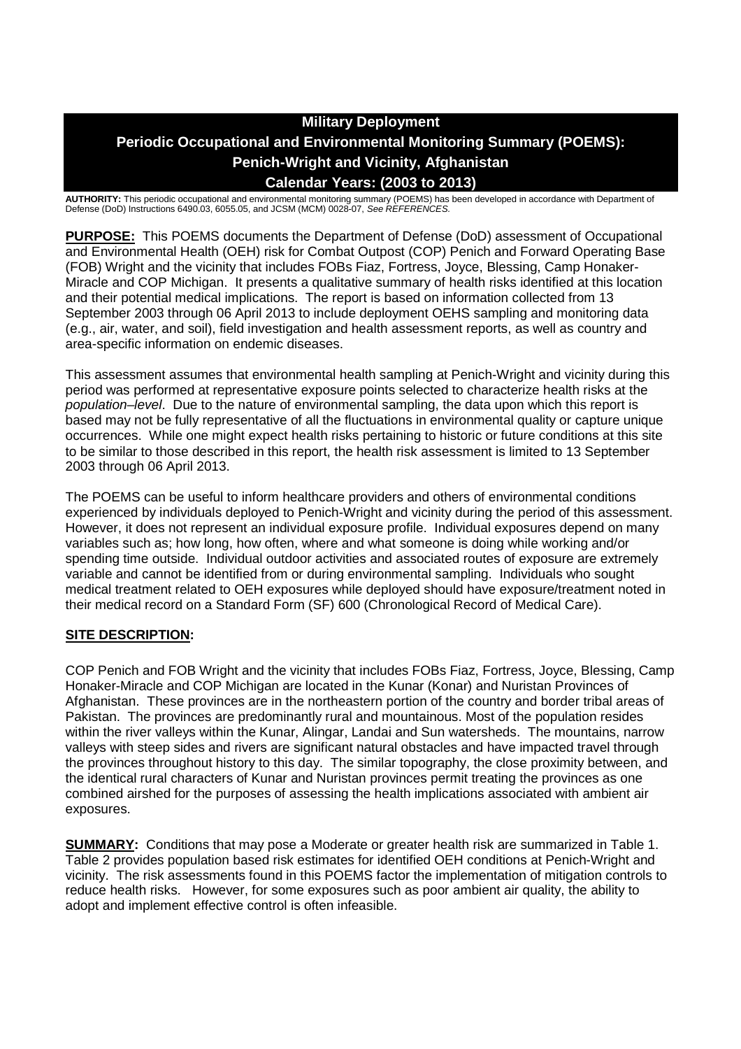# **Military Deployment Periodic Occupational and Environmental Monitoring Summary (POEMS): Penich-Wright and Vicinity, Afghanistan Calendar Years: (2003 to 2013)**

**AUTHORITY:** This periodic occupational and environmental monitoring summary (POEMS) has been developed in accordance with Department of Defense (DoD) Instructions 6490.03, 6055.05, and JCSM (MCM) 0028-07, *See REFERENCES.*

**PURPOSE:** This POEMS documents the Department of Defense (DoD) assessment of Occupational and Environmental Health (OEH) risk for Combat Outpost (COP) Penich and Forward Operating Base (FOB) Wright and the vicinity that includes FOBs Fiaz, Fortress, Joyce, Blessing, Camp Honaker-Miracle and COP Michigan. It presents a qualitative summary of health risks identified at this location and their potential medical implications. The report is based on information collected from 13 September 2003 through 06 April 2013 to include deployment OEHS sampling and monitoring data (e.g., air, water, and soil), field investigation and health assessment reports, as well as country and area-specific information on endemic diseases.

This assessment assumes that environmental health sampling at Penich-Wright and vicinity during this period was performed at representative exposure points selected to characterize health risks at the *population–level*. Due to the nature of environmental sampling, the data upon which this report is based may not be fully representative of all the fluctuations in environmental quality or capture unique occurrences. While one might expect health risks pertaining to historic or future conditions at this site to be similar to those described in this report, the health risk assessment is limited to 13 September 2003 through 06 April 2013.

The POEMS can be useful to inform healthcare providers and others of environmental conditions experienced by individuals deployed to Penich-Wright and vicinity during the period of this assessment. However, it does not represent an individual exposure profile. Individual exposures depend on many variables such as; how long, how often, where and what someone is doing while working and/or spending time outside. Individual outdoor activities and associated routes of exposure are extremely variable and cannot be identified from or during environmental sampling. Individuals who sought medical treatment related to OEH exposures while deployed should have exposure/treatment noted in their medical record on a Standard Form (SF) 600 (Chronological Record of Medical Care).

## **SITE DESCRIPTION:**

COP Penich and FOB Wright and the vicinity that includes FOBs Fiaz, Fortress, Joyce, Blessing, Camp Honaker-Miracle and COP Michigan are located in the Kunar (Konar) and Nuristan Provinces of Afghanistan. These provinces are in the northeastern portion of the country and border tribal areas of Pakistan. The provinces are predominantly rural and mountainous. Most of the population resides within the river valleys within the Kunar, Alingar, Landai and Sun watersheds. The mountains, narrow valleys with steep sides and rivers are significant natural obstacles and have impacted travel through the provinces throughout history to this day. The similar topography, the close proximity between, and the identical rural characters of Kunar and Nuristan provinces permit treating the provinces as one combined airshed for the purposes of assessing the health implications associated with ambient air exposures.

**SUMMARY:** Conditions that may pose a Moderate or greater health risk are summarized in Table 1. Table 2 provides population based risk estimates for identified OEH conditions at Penich-Wright and vicinity. The risk assessments found in this POEMS factor the implementation of mitigation controls to reduce health risks. However, for some exposures such as poor ambient air quality, the ability to adopt and implement effective control is often infeasible.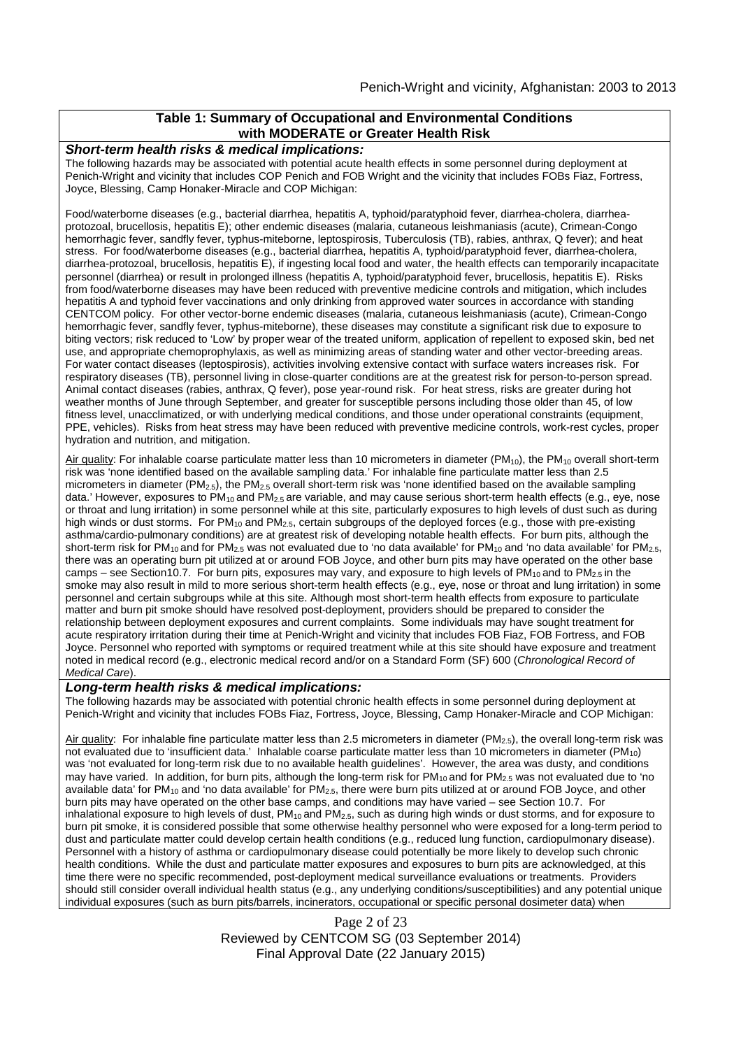#### **Table 1: Summary of Occupational and Environmental Conditions with MODERATE or Greater Health Risk**

#### *Short-term health risks & medical implications:*

The following hazards may be associated with potential acute health effects in some personnel during deployment at Penich-Wright and vicinity that includes COP Penich and FOB Wright and the vicinity that includes FOBs Fiaz, Fortress, Joyce, Blessing, Camp Honaker-Miracle and COP Michigan:

Food/waterborne diseases (e.g., bacterial diarrhea, hepatitis A, typhoid/paratyphoid fever, diarrhea-cholera, diarrheaprotozoal, brucellosis, hepatitis E); other endemic diseases (malaria, cutaneous leishmaniasis (acute), Crimean-Congo hemorrhagic fever, sandfly fever, typhus-miteborne, leptospirosis, Tuberculosis (TB), rabies, anthrax, Q fever); and heat stress. For food/waterborne diseases (e.g., bacterial diarrhea, hepatitis A, typhoid/paratyphoid fever, diarrhea-cholera, diarrhea-protozoal, brucellosis, hepatitis E), if ingesting local food and water, the health effects can temporarily incapacitate personnel (diarrhea) or result in prolonged illness (hepatitis A, typhoid/paratyphoid fever, brucellosis, hepatitis E). Risks from food/waterborne diseases may have been reduced with preventive medicine controls and mitigation, which includes hepatitis A and typhoid fever vaccinations and only drinking from approved water sources in accordance with standing CENTCOM policy. For other vector-borne endemic diseases (malaria, cutaneous leishmaniasis (acute), Crimean-Congo hemorrhagic fever, sandfly fever, typhus-miteborne), these diseases may constitute a significant risk due to exposure to biting vectors; risk reduced to 'Low' by proper wear of the treated uniform, application of repellent to exposed skin, bed net use, and appropriate chemoprophylaxis, as well as minimizing areas of standing water and other vector-breeding areas. For water contact diseases (leptospirosis), activities involving extensive contact with surface waters increases risk. For respiratory diseases (TB), personnel living in close-quarter conditions are at the greatest risk for person-to-person spread. Animal contact diseases (rabies, anthrax, Q fever), pose year-round risk. For heat stress, risks are greater during hot weather months of June through September, and greater for susceptible persons including those older than 45, of low fitness level, unacclimatized, or with underlying medical conditions, and those under operational constraints (equipment, PPE, vehicles). Risks from heat stress may have been reduced with preventive medicine controls, work-rest cycles, proper hydration and nutrition, and mitigation.

Air quality: For inhalable coarse particulate matter less than 10 micrometers in diameter ( $PM_{10}$ ), the  $PM_{10}$  overall short-term risk was 'none identified based on the available sampling data.' For inhalable fine particulate matter less than 2.5 micrometers in diameter (PM2.5), the PM2.5 overall short-term risk was 'none identified based on the available sampling data.' However, exposures to PM<sub>10</sub> and PM<sub>2.5</sub> are variable, and may cause serious short-term health effects (e.g., eye, nose or throat and lung irritation) in some personnel while at this site, particularly exposures to high levels of dust such as during high winds or dust storms. For PM<sub>10</sub> and PM<sub>2.5</sub>, certain subgroups of the deployed forces (e.g., those with pre-existing asthma/cardio-pulmonary conditions) are at greatest risk of developing notable health effects. For burn pits, although the short-term risk for PM<sub>10</sub> and for PM<sub>2.5</sub>, was not evaluated due to 'no data available' for PM<sub>10</sub> and 'no data available' for PM<sub>2.5</sub>, there was an operating burn pit utilized at or around FOB Joyce, and other burn pits may have operated on the other base camps – see Section10.7. For burn pits, exposures may vary, and exposure to high levels of  $PM_{10}$  and to  $PM_{2.5}$  in the smoke may also result in mild to more serious short-term health effects (e.g., eye, nose or throat and lung irritation) in some personnel and certain subgroups while at this site. Although most short-term health effects from exposure to particulate matter and burn pit smoke should have resolved post-deployment, providers should be prepared to consider the relationship between deployment exposures and current complaints. Some individuals may have sought treatment for acute respiratory irritation during their time at Penich-Wright and vicinity that includes FOB Fiaz, FOB Fortress, and FOB Joyce. Personnel who reported with symptoms or required treatment while at this site should have exposure and treatment noted in medical record (e.g., electronic medical record and/or on a Standard Form (SF) 600 (*Chronological Record of Medical Care*).

#### *Long-term health risks & medical implications:*

The following hazards may be associated with potential chronic health effects in some personnel during deployment at Penich-Wright and vicinity that includes FOBs Fiaz, Fortress, Joyce, Blessing, Camp Honaker-Miracle and COP Michigan:

Air quality: For inhalable fine particulate matter less than 2.5 micrometers in diameter (PM<sub>2.5</sub>), the overall long-term risk was not evaluated due to 'insufficient data.' Inhalable coarse particulate matter less than 10 micrometers in diameter (PM<sub>10</sub>) was 'not evaluated for long-term risk due to no available health guidelines'. However, the area was dusty, and conditions may have varied. In addition, for burn pits, although the long-term risk for  $PM_{10}$  and for  $PM_{2.5}$  was not evaluated due to 'no available data' for PM<sub>10</sub> and 'no data available' for PM<sub>2.5</sub>, there were burn pits utilized at or around FOB Joyce, and other burn pits may have operated on the other base camps, and conditions may have varied – see Section 10.7. For inhalational exposure to high levels of dust,  $PM_{10}$  and  $PM_{2.5}$ , such as during high winds or dust storms, and for exposure to burn pit smoke, it is considered possible that some otherwise healthy personnel who were exposed for a long-term period to dust and particulate matter could develop certain health conditions (e.g., reduced lung function, cardiopulmonary disease). Personnel with a history of asthma or cardiopulmonary disease could potentially be more likely to develop such chronic health conditions. While the dust and particulate matter exposures and exposures to burn pits are acknowledged, at this time there were no specific recommended, post-deployment medical surveillance evaluations or treatments. Providers should still consider overall individual health status (e.g., any underlying conditions/susceptibilities) and any potential unique individual exposures (such as burn pits/barrels, incinerators, occupational or specific personal dosimeter data) when

> Page 2 of 23 Reviewed by CENTCOM SG (03 September 2014) Final Approval Date (22 January 2015)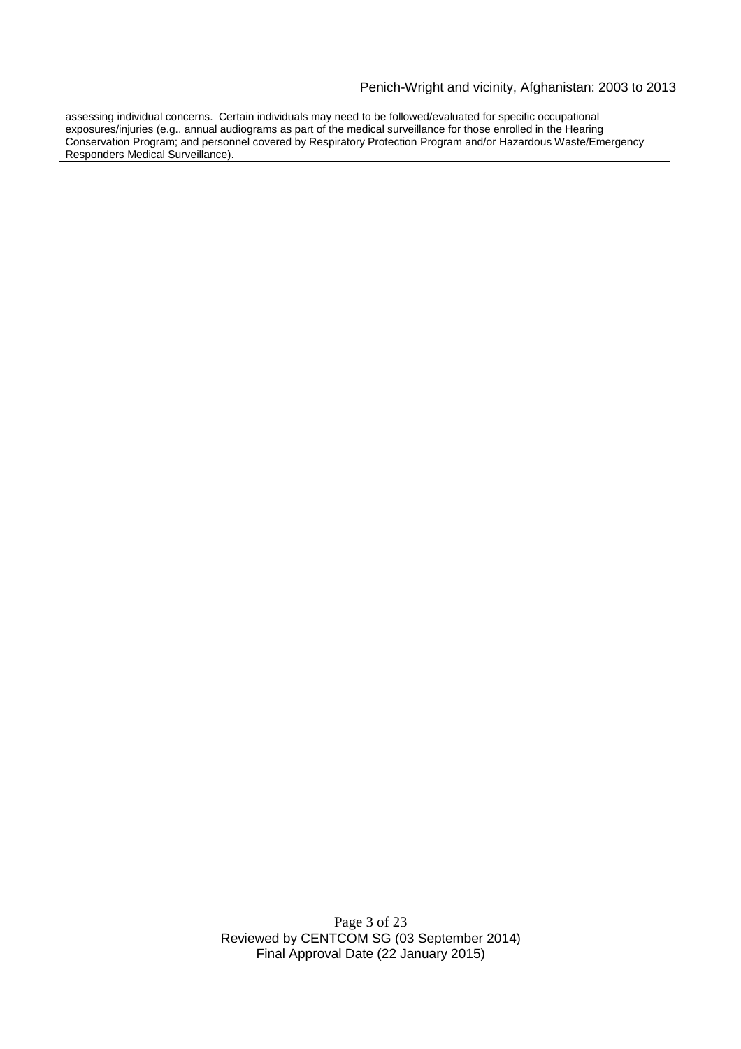assessing individual concerns. Certain individuals may need to be followed/evaluated for specific occupational exposures/injuries (e.g., annual audiograms as part of the medical surveillance for those enrolled in the Hearing Conservation Program; and personnel covered by Respiratory Protection Program and/or Hazardous Waste/Emergency Responders Medical Surveillance).

> Page 3 of 23 Reviewed by CENTCOM SG (03 September 2014) Final Approval Date (22 January 2015)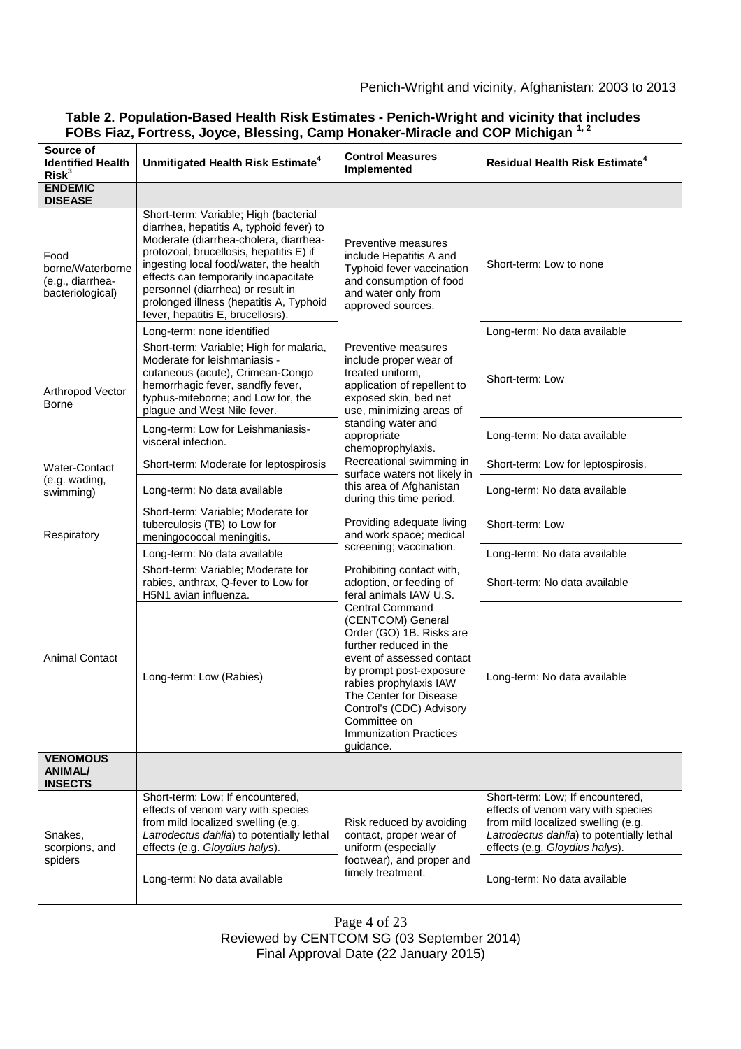| Source of<br><b>Identified Health</b><br>Risk <sup>3</sup>       | Unmitigated Health Risk Estimate <sup>4</sup>                                                                                                                                                                                                                                                                                                                                | <b>Control Measures</b><br>Implemented                                                                                                                                                                                                                                                                                                                                                    | <b>Residual Health Risk Estimate<sup>4</sup></b>                                                                                                                                            |
|------------------------------------------------------------------|------------------------------------------------------------------------------------------------------------------------------------------------------------------------------------------------------------------------------------------------------------------------------------------------------------------------------------------------------------------------------|-------------------------------------------------------------------------------------------------------------------------------------------------------------------------------------------------------------------------------------------------------------------------------------------------------------------------------------------------------------------------------------------|---------------------------------------------------------------------------------------------------------------------------------------------------------------------------------------------|
| <b>ENDEMIC</b><br><b>DISEASE</b>                                 |                                                                                                                                                                                                                                                                                                                                                                              |                                                                                                                                                                                                                                                                                                                                                                                           |                                                                                                                                                                                             |
| Food<br>borne/Waterborne<br>(e.g., diarrhea-<br>bacteriological) | Short-term: Variable; High (bacterial<br>diarrhea, hepatitis A, typhoid fever) to<br>Moderate (diarrhea-cholera, diarrhea-<br>protozoal, brucellosis, hepatitis E) if<br>ingesting local food/water, the health<br>effects can temporarily incapacitate<br>personnel (diarrhea) or result in<br>prolonged illness (hepatitis A, Typhoid<br>fever, hepatitis E, brucellosis). | Preventive measures<br>include Hepatitis A and<br>Typhoid fever vaccination<br>and consumption of food<br>and water only from<br>approved sources.                                                                                                                                                                                                                                        | Short-term: Low to none                                                                                                                                                                     |
|                                                                  | Long-term: none identified                                                                                                                                                                                                                                                                                                                                                   |                                                                                                                                                                                                                                                                                                                                                                                           | Long-term: No data available                                                                                                                                                                |
| Arthropod Vector<br><b>Borne</b>                                 | Short-term: Variable; High for malaria,<br>Moderate for leishmaniasis -<br>cutaneous (acute), Crimean-Congo<br>hemorrhagic fever, sandfly fever,<br>typhus-miteborne; and Low for, the<br>plague and West Nile fever.                                                                                                                                                        | Preventive measures<br>include proper wear of<br>treated uniform,<br>application of repellent to<br>exposed skin, bed net<br>use, minimizing areas of<br>standing water and<br>appropriate<br>chemoprophylaxis.                                                                                                                                                                           | Short-term: Low                                                                                                                                                                             |
|                                                                  | Long-term: Low for Leishmaniasis-<br>visceral infection.                                                                                                                                                                                                                                                                                                                     |                                                                                                                                                                                                                                                                                                                                                                                           | Long-term: No data available                                                                                                                                                                |
| Water-Contact<br>(e.g. wading,<br>swimming)                      | Short-term: Moderate for leptospirosis                                                                                                                                                                                                                                                                                                                                       | Recreational swimming in<br>surface waters not likely in<br>this area of Afghanistan<br>during this time period.                                                                                                                                                                                                                                                                          | Short-term: Low for leptospirosis.                                                                                                                                                          |
|                                                                  | Long-term: No data available                                                                                                                                                                                                                                                                                                                                                 |                                                                                                                                                                                                                                                                                                                                                                                           | Long-term: No data available                                                                                                                                                                |
| Respiratory                                                      | Short-term: Variable; Moderate for<br>tuberculosis (TB) to Low for<br>meningococcal meningitis.                                                                                                                                                                                                                                                                              | Providing adequate living<br>and work space; medical<br>screening; vaccination.                                                                                                                                                                                                                                                                                                           | Short-term: Low                                                                                                                                                                             |
|                                                                  | Long-term: No data available                                                                                                                                                                                                                                                                                                                                                 |                                                                                                                                                                                                                                                                                                                                                                                           | Long-term: No data available                                                                                                                                                                |
| <b>Animal Contact</b>                                            | Short-term: Variable; Moderate for<br>rabies, anthrax, Q-fever to Low for<br>H5N1 avian influenza.                                                                                                                                                                                                                                                                           | Prohibiting contact with,<br>adoption, or feeding of<br>feral animals IAW U.S.<br><b>Central Command</b><br>(CENTCOM) General<br>Order (GO) 1B. Risks are<br>further reduced in the<br>event of assessed contact<br>by prompt post-exposure<br>rabies prophylaxis IAW<br>The Center for Disease<br>Control's (CDC) Advisory<br>Committee on<br><b>Immunization Practices</b><br>guidance. | Short-term: No data available                                                                                                                                                               |
|                                                                  | Long-term: Low (Rabies)                                                                                                                                                                                                                                                                                                                                                      |                                                                                                                                                                                                                                                                                                                                                                                           | Long-term: No data available                                                                                                                                                                |
| <b>VENOMOUS</b><br><b>ANIMAL/</b><br><b>INSECTS</b>              |                                                                                                                                                                                                                                                                                                                                                                              |                                                                                                                                                                                                                                                                                                                                                                                           |                                                                                                                                                                                             |
| Snakes,<br>scorpions, and<br>spiders                             | Short-term: Low; If encountered,<br>effects of venom vary with species<br>from mild localized swelling (e.g.<br>Latrodectus dahlia) to potentially lethal<br>effects (e.g. Gloydius halys).                                                                                                                                                                                  | Risk reduced by avoiding<br>contact, proper wear of<br>uniform (especially<br>footwear), and proper and<br>timely treatment.                                                                                                                                                                                                                                                              | Short-term: Low; If encountered,<br>effects of venom vary with species<br>from mild localized swelling (e.g.<br>Latrodectus dahlia) to potentially lethal<br>effects (e.g. Gloydius halys). |
|                                                                  | Long-term: No data available                                                                                                                                                                                                                                                                                                                                                 |                                                                                                                                                                                                                                                                                                                                                                                           | Long-term: No data available                                                                                                                                                                |

## **Table 2. Population-Based Health Risk Estimates - Penich-Wright and vicinity that includes FOBs Fiaz, Fortress, Joyce, Blessing, Camp Honaker-Miracle and COP Michigan 1, 2**

Page 4 of 23

Final Approval Date (22 January 2015)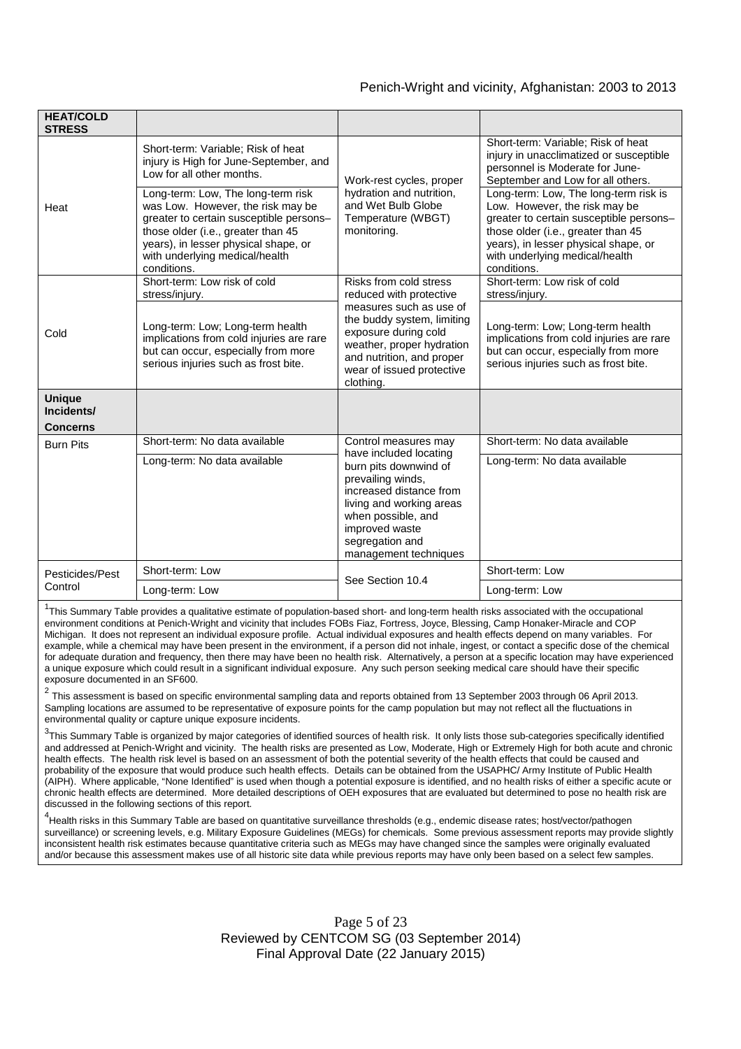| <b>HEAT/COLD</b><br><b>STRESS</b> |                                                                                                                                                                                                                                                   |                                                                                                                                                                                                                                         |                                                                                                                                                                                                                                                  |
|-----------------------------------|---------------------------------------------------------------------------------------------------------------------------------------------------------------------------------------------------------------------------------------------------|-----------------------------------------------------------------------------------------------------------------------------------------------------------------------------------------------------------------------------------------|--------------------------------------------------------------------------------------------------------------------------------------------------------------------------------------------------------------------------------------------------|
| Heat                              | Short-term: Variable; Risk of heat<br>injury is High for June-September, and<br>Low for all other months.                                                                                                                                         | Work-rest cycles, proper<br>hydration and nutrition,<br>and Wet Bulb Globe<br>Temperature (WBGT)<br>monitoring.                                                                                                                         | Short-term: Variable; Risk of heat<br>injury in unacclimatized or susceptible<br>personnel is Moderate for June-<br>September and Low for all others.                                                                                            |
|                                   | Long-term: Low, The long-term risk<br>was Low. However, the risk may be<br>greater to certain susceptible persons-<br>those older (i.e., greater than 45<br>years), in lesser physical shape, or<br>with underlying medical/health<br>conditions. |                                                                                                                                                                                                                                         | Long-term: Low, The long-term risk is<br>Low. However, the risk may be<br>greater to certain susceptible persons-<br>those older (i.e., greater than 45<br>years), in lesser physical shape, or<br>with underlying medical/health<br>conditions. |
| Cold                              | Short-term: Low risk of cold<br>stress/injury.                                                                                                                                                                                                    | Risks from cold stress<br>reduced with protective<br>measures such as use of<br>the buddy system, limiting<br>exposure during cold<br>weather, proper hydration<br>and nutrition, and proper<br>wear of issued protective<br>clothing.  | Short-term: Low risk of cold<br>stress/injury.                                                                                                                                                                                                   |
|                                   | Long-term: Low; Long-term health<br>implications from cold injuries are rare<br>but can occur, especially from more<br>serious injuries such as frost bite.                                                                                       |                                                                                                                                                                                                                                         | Long-term: Low; Long-term health<br>implications from cold injuries are rare<br>but can occur, especially from more<br>serious injuries such as frost bite.                                                                                      |
| <b>Unique</b><br>Incidents/       |                                                                                                                                                                                                                                                   |                                                                                                                                                                                                                                         |                                                                                                                                                                                                                                                  |
| <b>Concerns</b>                   |                                                                                                                                                                                                                                                   |                                                                                                                                                                                                                                         |                                                                                                                                                                                                                                                  |
| <b>Burn Pits</b>                  | Short-term: No data available                                                                                                                                                                                                                     | Control measures may<br>have included locating<br>burn pits downwind of<br>prevailing winds,<br>increased distance from<br>living and working areas<br>when possible, and<br>improved waste<br>segregation and<br>management techniques | Short-term: No data available                                                                                                                                                                                                                    |
|                                   | Long-term: No data available                                                                                                                                                                                                                      |                                                                                                                                                                                                                                         | Long-term: No data available                                                                                                                                                                                                                     |
| Pesticides/Pest<br>Control        | Short-term: Low                                                                                                                                                                                                                                   | See Section 10.4                                                                                                                                                                                                                        | Short-term: Low                                                                                                                                                                                                                                  |
|                                   | Long-term: Low                                                                                                                                                                                                                                    |                                                                                                                                                                                                                                         | Long-term: Low                                                                                                                                                                                                                                   |

<sup>1</sup>This Summary Table provides a qualitative estimate of population-based short- and long-term health risks associated with the occupational environment conditions at Penich-Wright and vicinity that includes FOBs Fiaz, Fortress, Joyce, Blessing, Camp Honaker-Miracle and COP Michigan. It does not represent an individual exposure profile. Actual individual exposures and health effects depend on many variables. For example, while a chemical may have been present in the environment, if a person did not inhale, ingest, or contact a specific dose of the chemical for adequate duration and frequency, then there may have been no health risk. Alternatively, a person at a specific location may have experienced a unique exposure which could result in a significant individual exposure. Any such person seeking medical care should have their specific exposure documented in an SF600.

2 This assessment is based on specific environmental sampling data and reports obtained from 13 September 2003 through 06 April 2013. Sampling locations are assumed to be representative of exposure points for the camp population but may not reflect all the fluctuations in environmental quality or capture unique exposure incidents.

 $3$ This Summary Table is organized by major categories of identified sources of health risk. It only lists those sub-categories specifically identified and addressed at Penich-Wright and vicinity. The health risks are presented as Low, Moderate, High or Extremely High for both acute and chronic health effects. The health risk level is based on an assessment of both the potential severity of the health effects that could be caused and probability of the exposure that would produce such health effects. Details can be obtained from the USAPHC/ Army Institute of Public Health (AIPH). Where applicable, "None Identified" is used when though a potential exposure is identified, and no health risks of either a specific acute or chronic health effects are determined. More detailed descriptions of OEH exposures that are evaluated but determined to pose no health risk are discussed in the following sections of this report.

4 Health risks in this Summary Table are based on quantitative surveillance thresholds (e.g., endemic disease rates; host/vector/pathogen surveillance) or screening levels, e.g. Military Exposure Guidelines (MEGs) for chemicals*.* Some previous assessment reports may provide slightly inconsistent health risk estimates because quantitative criteria such as MEGs may have changed since the samples were originally evaluated and/or because this assessment makes use of all historic site data while previous reports may have only been based on a select few samples.

> Page 5 of 23 Reviewed by CENTCOM SG (03 September 2014) Final Approval Date (22 January 2015)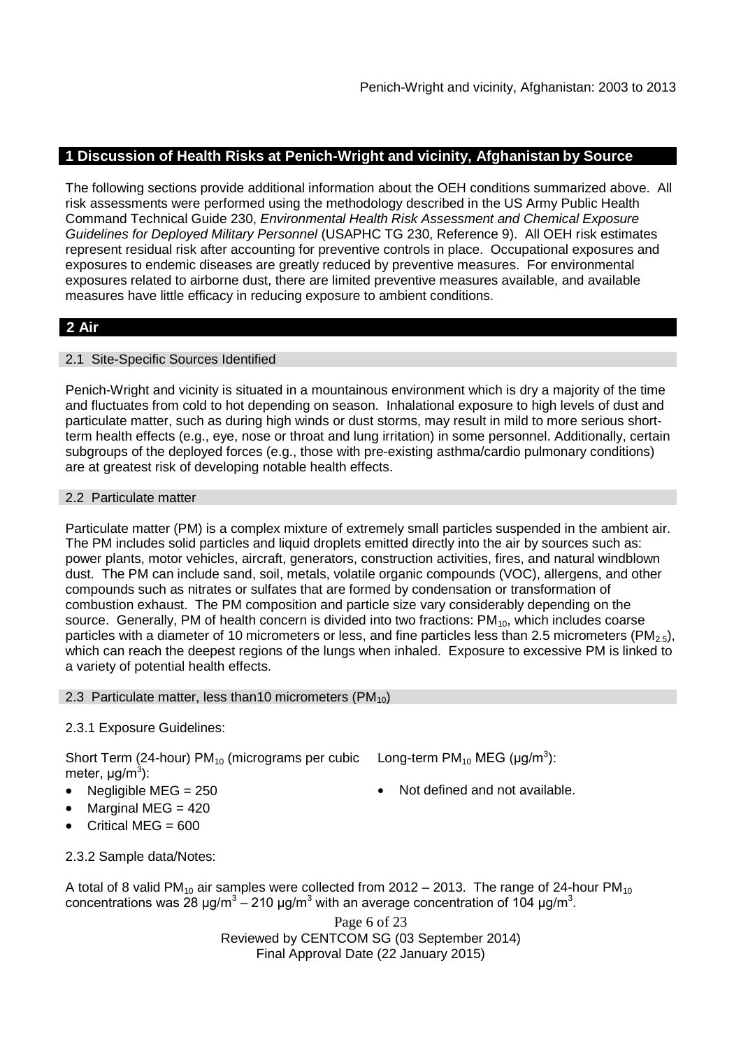# **1 Discussion of Health Risks at Penich-Wright and vicinity, Afghanistan by Source**

The following sections provide additional information about the OEH conditions summarized above. All risk assessments were performed using the methodology described in the US Army Public Health Command Technical Guide 230, *Environmental Health Risk Assessment and Chemical Exposure Guidelines for Deployed Military Personnel* (USAPHC TG 230, Reference 9). All OEH risk estimates represent residual risk after accounting for preventive controls in place. Occupational exposures and exposures to endemic diseases are greatly reduced by preventive measures. For environmental exposures related to airborne dust, there are limited preventive measures available, and available measures have little efficacy in reducing exposure to ambient conditions.

# **2 Air**

## 2.1 Site-Specific Sources Identified

Penich-Wright and vicinity is situated in a mountainous environment which is dry a majority of the time and fluctuates from cold to hot depending on season. Inhalational exposure to high levels of dust and particulate matter, such as during high winds or dust storms, may result in mild to more serious shortterm health effects (e.g., eye, nose or throat and lung irritation) in some personnel. Additionally, certain subgroups of the deployed forces (e.g., those with pre-existing asthma/cardio pulmonary conditions) are at greatest risk of developing notable health effects.

## 2.2 Particulate matter

Particulate matter (PM) is a complex mixture of extremely small particles suspended in the ambient air. The PM includes solid particles and liquid droplets emitted directly into the air by sources such as: power plants, motor vehicles, aircraft, generators, construction activities, fires, and natural windblown dust. The PM can include sand, soil, metals, volatile organic compounds (VOC), allergens, and other compounds such as nitrates or sulfates that are formed by condensation or transformation of combustion exhaust. The PM composition and particle size vary considerably depending on the source. Generally, PM of health concern is divided into two fractions:  $PM_{10}$ , which includes coarse particles with a diameter of 10 micrometers or less, and fine particles less than 2.5 micrometers (PM<sub>2.5</sub>), which can reach the deepest regions of the lungs when inhaled. Exposure to excessive PM is linked to a variety of potential health effects.

#### 2.3 Particulate matter, less than 10 micrometers ( $PM_{10}$ )

## 2.3.1 Exposure Guidelines:

Short Term (24-hour) PM<sub>10</sub> (micrograms per cubic Long-term PM<sub>10</sub> MEG (µg/m<sup>3</sup>): meter, μg/m<sup>3</sup>):

- Negligible MEG = 250 **a** Not defined and not available.
- Marginal MEG  $=$  420
- Critical MEG  $= 600$

2.3.2 Sample data/Notes:

A total of 8 valid PM<sub>10</sub> air samples were collected from  $2012 - 2013$ . The range of 24-hour PM<sub>10</sub> concentrations was 28 μg/m<sup>3</sup> – 210 μg/m<sup>3</sup> with an average concentration of 104 μg/m<sup>3</sup>.

> Page 6 of 23 Reviewed by CENTCOM SG (03 September 2014) Final Approval Date (22 January 2015)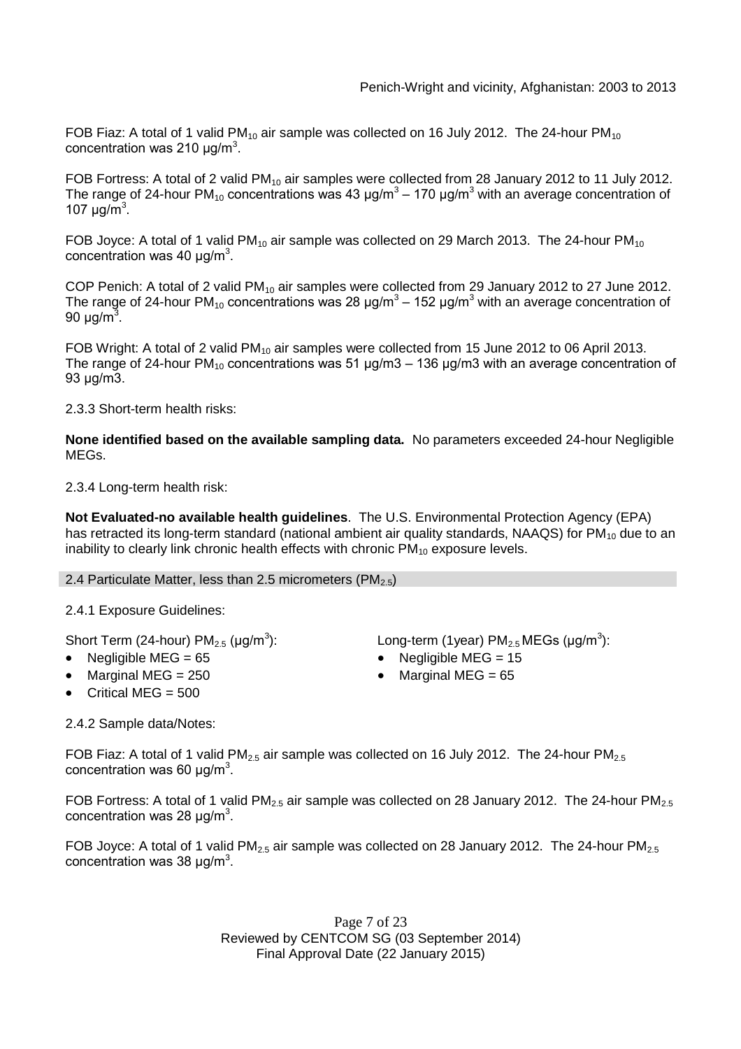FOB Fiaz: A total of 1 valid PM<sub>10</sub> air sample was collected on 16 July 2012. The 24-hour PM<sub>10</sub> concentration was 210  $\mu$ g/m<sup>3</sup>.

FOB Fortress: A total of 2 valid PM<sub>10</sub> air samples were collected from 28 January 2012 to 11 July 2012. The range of 24-hour PM<sub>10</sub> concentrations was 43 µg/m $^3$  – 170 µg/m $^3$  with an average concentration of 107  $\mu$ g/m<sup>3</sup>.

FOB Joyce: A total of 1 valid PM<sub>10</sub> air sample was collected on 29 March 2013. The 24-hour PM<sub>10</sub> concentration was 40  $\mu$ g/m<sup>3</sup>.

COP Penich: A total of 2 valid PM<sub>10</sub> air samples were collected from 29 January 2012 to 27 June 2012. The range of 24-hour PM<sub>10</sub> concentrations was 28 µg/m $^3$  – 152 µg/m $^3$  with an average concentration of 90 μg/m<sup>3</sup>.

FOB Wright: A total of 2 valid  $PM_{10}$  air samples were collected from 15 June 2012 to 06 April 2013. The range of 24-hour PM<sub>10</sub> concentrations was 51  $\mu$ g/m3 – 136  $\mu$ g/m3 with an average concentration of 93 μg/m3.

2.3.3 Short-term health risks:

**None identified based on the available sampling data.** No parameters exceeded 24-hour Negligible MEGs.

2.3.4 Long-term health risk:

**Not Evaluated-no available health guidelines**. The U.S. Environmental Protection Agency (EPA) has retracted its long-term standard (national ambient air quality standards, NAAQS) for  $PM<sub>10</sub>$  due to an inability to clearly link chronic health effects with chronic  $PM_{10}$  exposure levels.

#### 2.4 Particulate Matter, less than 2.5 micrometers ( $PM<sub>2.5</sub>$ )

2.4.1 Exposure Guidelines:

Short Term (24-hour) PM $_{2.5}$  (µg/m $^3$ 

- 
- 
- Critical MFG  $=$  500

2.4.2 Sample data/Notes:

): Long-term (1year)  $PM_{2.5}$ MEGs (µg/m<sup>3</sup>):

- Negligible MEG = 65 Negligible MEG = 15
- Marginal MEG =  $250$   $\bullet$  Marginal MEG =  $65$

FOB Fiaz: A total of 1 valid PM<sub>2.5</sub> air sample was collected on 16 July 2012. The 24-hour PM<sub>2.5</sub> concentration was 60  $\mu$ g/m<sup>3</sup>.

FOB Fortress: A total of 1 valid PM<sub>2.5</sub> air sample was collected on 28 January 2012. The 24-hour PM<sub>2.5</sub> concentration was 28  $\mu$ g/m<sup>3</sup>.

FOB Joyce: A total of 1 valid PM<sub>2.5</sub> air sample was collected on 28 January 2012. The 24-hour PM<sub>2.5</sub> concentration was 38  $\mu$ g/m<sup>3</sup>.

> Page 7 of 23 Reviewed by CENTCOM SG (03 September 2014) Final Approval Date (22 January 2015)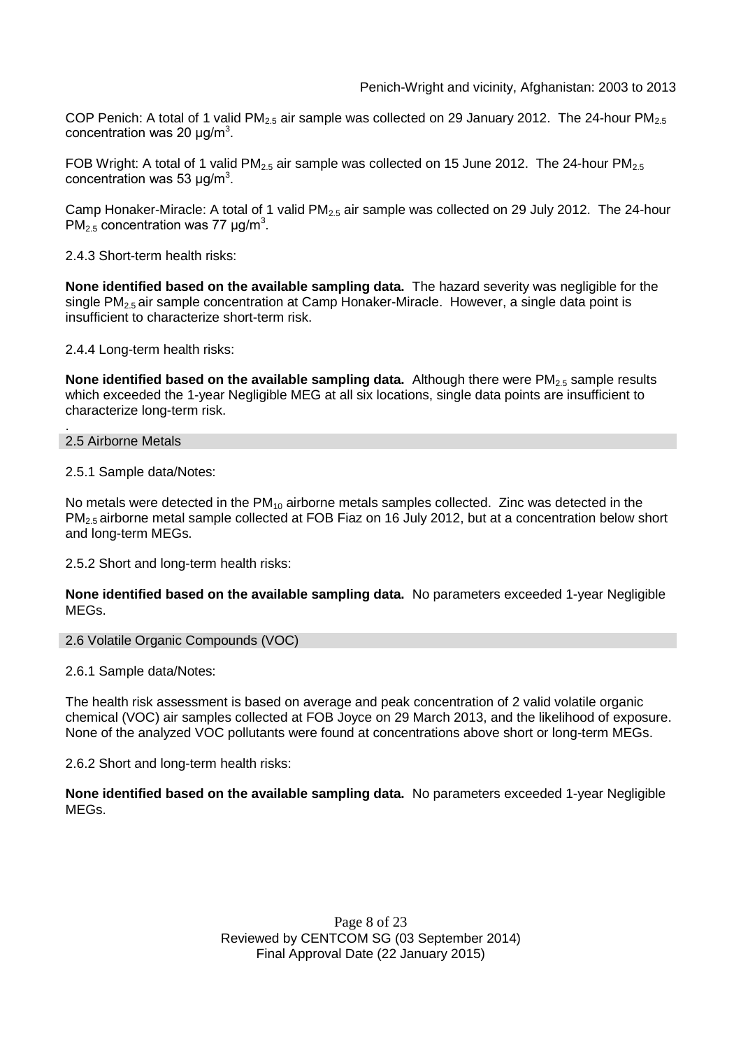COP Penich: A total of 1 valid PM<sub>2.5</sub> air sample was collected on 29 January 2012. The 24-hour PM<sub>2.5</sub> concentration was 20  $\mu$ g/m<sup>3</sup>.

FOB Wright: A total of 1 valid PM<sub>2.5</sub> air sample was collected on 15 June 2012. The 24-hour PM<sub>2.5</sub> concentration was 53  $\mu$ g/m<sup>3</sup>.

Camp Honaker-Miracle: A total of 1 valid PM<sub>2.5</sub> air sample was collected on 29 July 2012. The 24-hour PM<sub>2.5</sub> concentration was 77  $\mu$ g/m<sup>3</sup>.

2.4.3 Short-term health risks:

**None identified based on the available sampling data.** The hazard severity was negligible for the single  $PM<sub>2.5</sub>$  air sample concentration at Camp Honaker-Miracle. However, a single data point is insufficient to characterize short-term risk.

2.4.4 Long-term health risks:

**None identified based on the available sampling data.** Although there were PM<sub>2.5</sub> sample results which exceeded the 1-year Negligible MEG at all six locations, single data points are insufficient to characterize long-term risk.

. 2.5 Airborne Metals

2.5.1 Sample data/Notes:

No metals were detected in the  $PM_{10}$  airborne metals samples collected. Zinc was detected in the PM2.5 airborne metal sample collected at FOB Fiaz on 16 July 2012, but at a concentration below short and long-term MEGs.

2.5.2 Short and long-term health risks:

**None identified based on the available sampling data.** No parameters exceeded 1-year Negligible MEGs.

2.6 Volatile Organic Compounds (VOC)

2.6.1 Sample data/Notes:

The health risk assessment is based on average and peak concentration of 2 valid volatile organic chemical (VOC) air samples collected at FOB Joyce on 29 March 2013, and the likelihood of exposure. None of the analyzed VOC pollutants were found at concentrations above short or long-term MEGs.

2.6.2 Short and long-term health risks:

**None identified based on the available sampling data.** No parameters exceeded 1-year Negligible MEGs.

> Page 8 of 23 Reviewed by CENTCOM SG (03 September 2014) Final Approval Date (22 January 2015)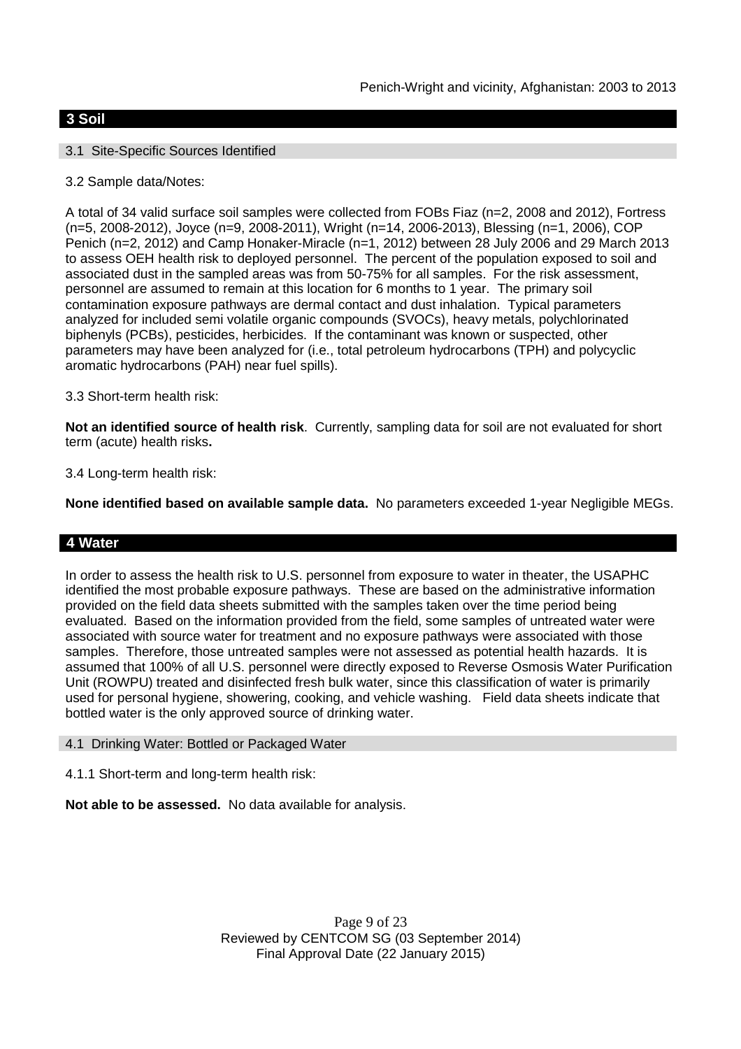## **3 Soil**

## 3.1 Site-Specific Sources Identified

## 3.2 Sample data/Notes:

A total of 34 valid surface soil samples were collected from FOBs Fiaz (n=2, 2008 and 2012), Fortress (n=5, 2008-2012), Joyce (n=9, 2008-2011), Wright (n=14, 2006-2013), Blessing (n=1, 2006), COP Penich (n=2, 2012) and Camp Honaker-Miracle (n=1, 2012) between 28 July 2006 and 29 March 2013 to assess OEH health risk to deployed personnel. The percent of the population exposed to soil and associated dust in the sampled areas was from 50-75% for all samples. For the risk assessment, personnel are assumed to remain at this location for 6 months to 1 year. The primary soil contamination exposure pathways are dermal contact and dust inhalation. Typical parameters analyzed for included semi volatile organic compounds (SVOCs), heavy metals, polychlorinated biphenyls (PCBs), pesticides, herbicides. If the contaminant was known or suspected, other parameters may have been analyzed for (i.e., total petroleum hydrocarbons (TPH) and polycyclic aromatic hydrocarbons (PAH) near fuel spills).

## 3.3 Short-term health risk:

**Not an identified source of health risk**. Currently, sampling data for soil are not evaluated for short term (acute) health risks**.**

## 3.4 Long-term health risk:

**None identified based on available sample data.** No parameters exceeded 1-year Negligible MEGs.

#### **4 Water**

In order to assess the health risk to U.S. personnel from exposure to water in theater, the USAPHC identified the most probable exposure pathways. These are based on the administrative information provided on the field data sheets submitted with the samples taken over the time period being evaluated. Based on the information provided from the field, some samples of untreated water were associated with source water for treatment and no exposure pathways were associated with those samples. Therefore, those untreated samples were not assessed as potential health hazards. It is assumed that 100% of all U.S. personnel were directly exposed to Reverse Osmosis Water Purification Unit (ROWPU) treated and disinfected fresh bulk water, since this classification of water is primarily used for personal hygiene, showering, cooking, and vehicle washing. Field data sheets indicate that bottled water is the only approved source of drinking water.

#### 4.1 Drinking Water: Bottled or Packaged Water

4.1.1 Short-term and long-term health risk:

**Not able to be assessed.** No data available for analysis.

Page 9 of 23 Reviewed by CENTCOM SG (03 September 2014) Final Approval Date (22 January 2015)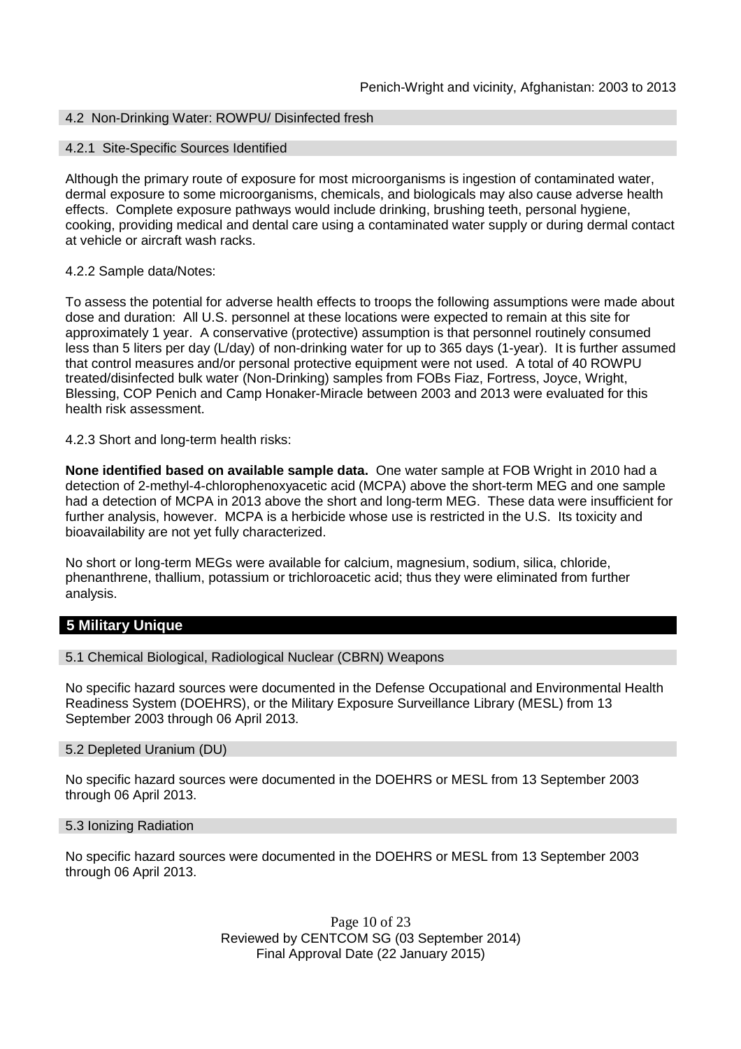## 4.2 Non-Drinking Water: ROWPU/ Disinfected fresh

#### 4.2.1 Site-Specific Sources Identified

Although the primary route of exposure for most microorganisms is ingestion of contaminated water, dermal exposure to some microorganisms, chemicals, and biologicals may also cause adverse health effects. Complete exposure pathways would include drinking, brushing teeth, personal hygiene, cooking, providing medical and dental care using a contaminated water supply or during dermal contact at vehicle or aircraft wash racks.

#### 4.2.2 Sample data/Notes:

To assess the potential for adverse health effects to troops the following assumptions were made about dose and duration: All U.S. personnel at these locations were expected to remain at this site for approximately 1 year. A conservative (protective) assumption is that personnel routinely consumed less than 5 liters per day (L/day) of non-drinking water for up to 365 days (1-year). It is further assumed that control measures and/or personal protective equipment were not used. A total of 40 ROWPU treated/disinfected bulk water (Non-Drinking) samples from FOBs Fiaz, Fortress, Joyce, Wright, Blessing, COP Penich and Camp Honaker-Miracle between 2003 and 2013 were evaluated for this health risk assessment.

4.2.3 Short and long-term health risks:

**None identified based on available sample data.** One water sample at FOB Wright in 2010 had a detection of 2-methyl-4-chlorophenoxyacetic acid (MCPA) above the short-term MEG and one sample had a detection of MCPA in 2013 above the short and long-term MEG. These data were insufficient for further analysis, however. MCPA is a herbicide whose use is restricted in the U.S. Its toxicity and bioavailability are not yet fully characterized.

No short or long-term MEGs were available for calcium, magnesium, sodium, silica, chloride, phenanthrene, thallium, potassium or trichloroacetic acid; thus they were eliminated from further analysis.

# **5 Military Unique**

5.1 Chemical Biological, Radiological Nuclear (CBRN) Weapons

No specific hazard sources were documented in the Defense Occupational and Environmental Health Readiness System (DOEHRS), or the Military Exposure Surveillance Library (MESL) from 13 September 2003 through 06 April 2013.

#### 5.2 Depleted Uranium (DU)

No specific hazard sources were documented in the DOEHRS or MESL from 13 September 2003 through 06 April 2013.

#### 5.3 Ionizing Radiation

No specific hazard sources were documented in the DOEHRS or MESL from 13 September 2003 through 06 April 2013.

> Page 10 of 23 Reviewed by CENTCOM SG (03 September 2014) Final Approval Date (22 January 2015)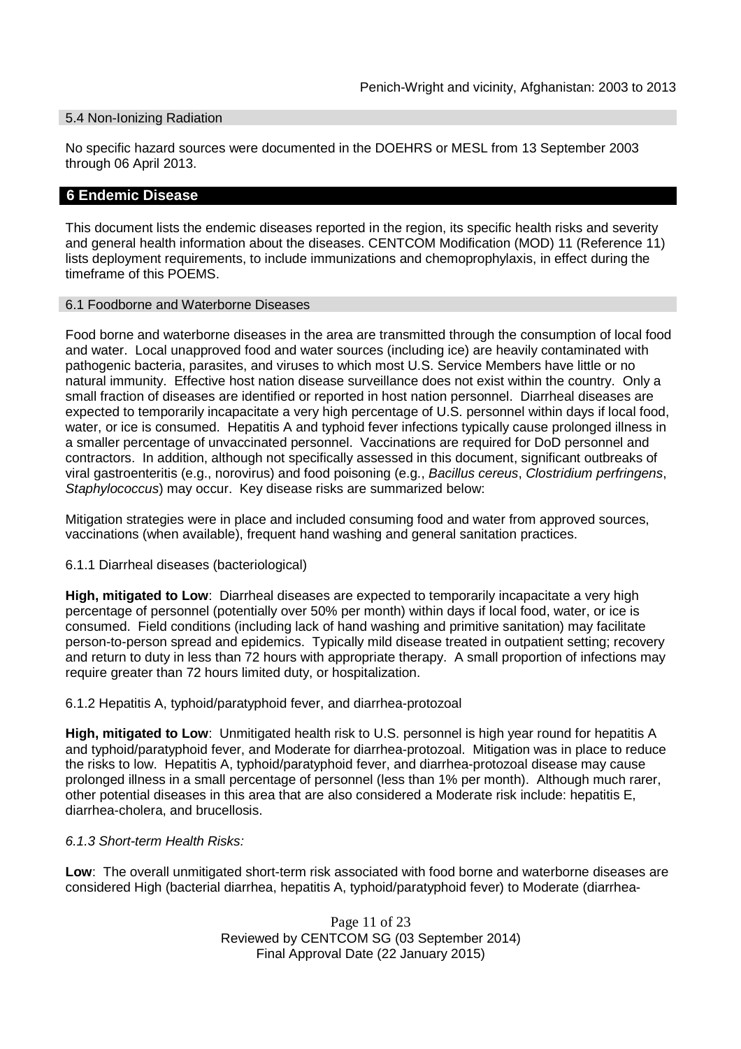#### 5.4 Non-Ionizing Radiation

No specific hazard sources were documented in the DOEHRS or MESL from 13 September 2003 through 06 April 2013.

#### **6 Endemic Disease**

This document lists the endemic diseases reported in the region, its specific health risks and severity and general health information about the diseases. CENTCOM Modification (MOD) 11 (Reference 11) lists deployment requirements, to include immunizations and chemoprophylaxis, in effect during the timeframe of this POEMS.

#### 6.1 Foodborne and Waterborne Diseases

Food borne and waterborne diseases in the area are transmitted through the consumption of local food and water. Local unapproved food and water sources (including ice) are heavily contaminated with pathogenic bacteria, parasites, and viruses to which most U.S. Service Members have little or no natural immunity. Effective host nation disease surveillance does not exist within the country. Only a small fraction of diseases are identified or reported in host nation personnel. Diarrheal diseases are expected to temporarily incapacitate a very high percentage of U.S. personnel within days if local food, water, or ice is consumed. Hepatitis A and typhoid fever infections typically cause prolonged illness in a smaller percentage of unvaccinated personnel. Vaccinations are required for DoD personnel and contractors. In addition, although not specifically assessed in this document, significant outbreaks of viral gastroenteritis (e.g., norovirus) and food poisoning (e.g., *Bacillus cereus*, *Clostridium perfringens*, *Staphylococcus*) may occur. Key disease risks are summarized below:

Mitigation strategies were in place and included consuming food and water from approved sources, vaccinations (when available), frequent hand washing and general sanitation practices.

6.1.1 Diarrheal diseases (bacteriological)

**High, mitigated to Low**: Diarrheal diseases are expected to temporarily incapacitate a very high percentage of personnel (potentially over 50% per month) within days if local food, water, or ice is consumed. Field conditions (including lack of hand washing and primitive sanitation) may facilitate person-to-person spread and epidemics. Typically mild disease treated in outpatient setting; recovery and return to duty in less than 72 hours with appropriate therapy. A small proportion of infections may require greater than 72 hours limited duty, or hospitalization.

6.1.2 Hepatitis A, typhoid/paratyphoid fever, and diarrhea-protozoal

**High, mitigated to Low**: Unmitigated health risk to U.S. personnel is high year round for hepatitis A and typhoid/paratyphoid fever, and Moderate for diarrhea-protozoal. Mitigation was in place to reduce the risks to low. Hepatitis A, typhoid/paratyphoid fever, and diarrhea-protozoal disease may cause prolonged illness in a small percentage of personnel (less than 1% per month). Although much rarer, other potential diseases in this area that are also considered a Moderate risk include: hepatitis E, diarrhea-cholera, and brucellosis.

#### *6.1.3 Short-term Health Risks:*

**Low**: The overall unmitigated short-term risk associated with food borne and waterborne diseases are considered High (bacterial diarrhea, hepatitis A, typhoid/paratyphoid fever) to Moderate (diarrhea-

> Page 11 of 23 Reviewed by CENTCOM SG (03 September 2014) Final Approval Date (22 January 2015)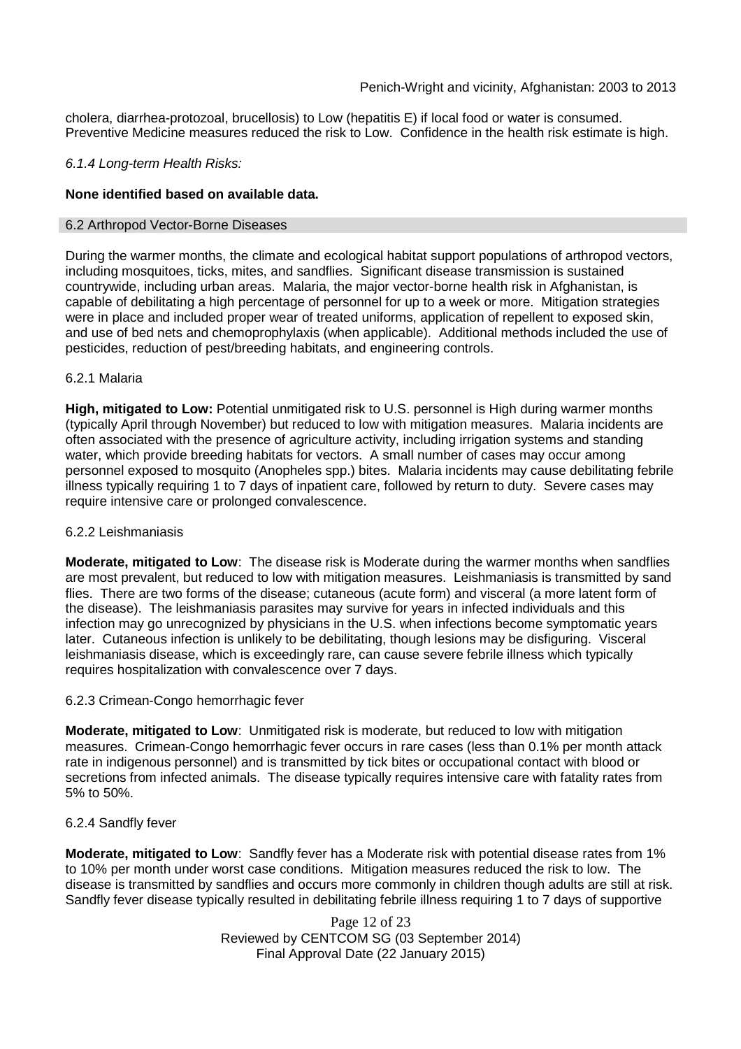cholera, diarrhea-protozoal, brucellosis) to Low (hepatitis E) if local food or water is consumed. Preventive Medicine measures reduced the risk to Low. Confidence in the health risk estimate is high.

#### *6.1.4 Long-term Health Risks:*

#### **None identified based on available data.**

#### 6.2 Arthropod Vector-Borne Diseases

During the warmer months, the climate and ecological habitat support populations of arthropod vectors, including mosquitoes, ticks, mites, and sandflies. Significant disease transmission is sustained countrywide, including urban areas. Malaria, the major vector-borne health risk in Afghanistan, is capable of debilitating a high percentage of personnel for up to a week or more. Mitigation strategies were in place and included proper wear of treated uniforms, application of repellent to exposed skin, and use of bed nets and chemoprophylaxis (when applicable). Additional methods included the use of pesticides, reduction of pest/breeding habitats, and engineering controls.

#### 6.2.1 Malaria

**High, mitigated to Low:** Potential unmitigated risk to U.S. personnel is High during warmer months (typically April through November) but reduced to low with mitigation measures. Malaria incidents are often associated with the presence of agriculture activity, including irrigation systems and standing water, which provide breeding habitats for vectors. A small number of cases may occur among personnel exposed to mosquito (Anopheles spp.) bites. Malaria incidents may cause debilitating febrile illness typically requiring 1 to 7 days of inpatient care, followed by return to duty. Severe cases may require intensive care or prolonged convalescence.

#### 6.2.2 Leishmaniasis

**Moderate, mitigated to Low**: The disease risk is Moderate during the warmer months when sandflies are most prevalent, but reduced to low with mitigation measures. Leishmaniasis is transmitted by sand flies. There are two forms of the disease; cutaneous (acute form) and visceral (a more latent form of the disease). The leishmaniasis parasites may survive for years in infected individuals and this infection may go unrecognized by physicians in the U.S. when infections become symptomatic years later. Cutaneous infection is unlikely to be debilitating, though lesions may be disfiguring. Visceral leishmaniasis disease, which is exceedingly rare, can cause severe febrile illness which typically requires hospitalization with convalescence over 7 days.

#### 6.2.3 Crimean-Congo hemorrhagic fever

**Moderate, mitigated to Low**: Unmitigated risk is moderate, but reduced to low with mitigation measures. Crimean-Congo hemorrhagic fever occurs in rare cases (less than 0.1% per month attack rate in indigenous personnel) and is transmitted by tick bites or occupational contact with blood or secretions from infected animals. The disease typically requires intensive care with fatality rates from 5% to 50%.

#### 6.2.4 Sandfly fever

**Moderate, mitigated to Low**: Sandfly fever has a Moderate risk with potential disease rates from 1% to 10% per month under worst case conditions. Mitigation measures reduced the risk to low. The disease is transmitted by sandflies and occurs more commonly in children though adults are still at risk. Sandfly fever disease typically resulted in debilitating febrile illness requiring 1 to 7 days of supportive

> Page 12 of 23 Reviewed by CENTCOM SG (03 September 2014) Final Approval Date (22 January 2015)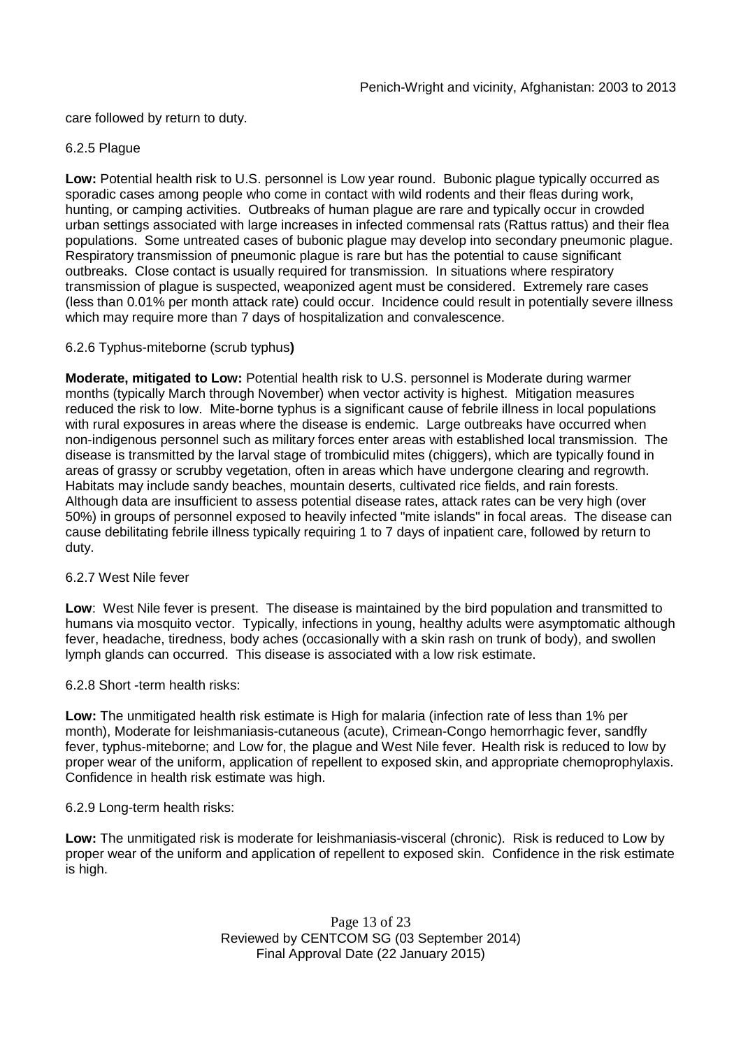care followed by return to duty.

#### 6.2.5 Plague

**Low:** Potential health risk to U.S. personnel is Low year round. Bubonic plague typically occurred as sporadic cases among people who come in contact with wild rodents and their fleas during work, hunting, or camping activities. Outbreaks of human plague are rare and typically occur in crowded urban settings associated with large increases in infected commensal rats (Rattus rattus) and their flea populations. Some untreated cases of bubonic plague may develop into secondary pneumonic plague. Respiratory transmission of pneumonic plague is rare but has the potential to cause significant outbreaks. Close contact is usually required for transmission. In situations where respiratory transmission of plague is suspected, weaponized agent must be considered. Extremely rare cases (less than 0.01% per month attack rate) could occur. Incidence could result in potentially severe illness which may require more than 7 days of hospitalization and convalescence.

#### 6.2.6 Typhus-miteborne (scrub typhus**)**

**Moderate, mitigated to Low:** Potential health risk to U.S. personnel is Moderate during warmer months (typically March through November) when vector activity is highest. Mitigation measures reduced the risk to low. Mite-borne typhus is a significant cause of febrile illness in local populations with rural exposures in areas where the disease is endemic. Large outbreaks have occurred when non-indigenous personnel such as military forces enter areas with established local transmission. The disease is transmitted by the larval stage of trombiculid mites (chiggers), which are typically found in areas of grassy or scrubby vegetation, often in areas which have undergone clearing and regrowth. Habitats may include sandy beaches, mountain deserts, cultivated rice fields, and rain forests. Although data are insufficient to assess potential disease rates, attack rates can be very high (over 50%) in groups of personnel exposed to heavily infected "mite islands" in focal areas. The disease can cause debilitating febrile illness typically requiring 1 to 7 days of inpatient care, followed by return to duty.

#### 6.2.7 West Nile fever

**Low**: West Nile fever is present. The disease is maintained by the bird population and transmitted to humans via mosquito vector. Typically, infections in young, healthy adults were asymptomatic although fever, headache, tiredness, body aches (occasionally with a skin rash on trunk of body), and swollen lymph glands can occurred. This disease is associated with a low risk estimate.

6.2.8 Short -term health risks:

**Low:** The unmitigated health risk estimate is High for malaria (infection rate of less than 1% per month), Moderate for leishmaniasis-cutaneous (acute), Crimean-Congo hemorrhagic fever, sandfly fever, typhus-miteborne; and Low for, the plague and West Nile fever. Health risk is reduced to low by proper wear of the uniform, application of repellent to exposed skin, and appropriate chemoprophylaxis. Confidence in health risk estimate was high.

#### 6.2.9 Long-term health risks:

**Low:** The unmitigated risk is moderate for leishmaniasis-visceral (chronic). Risk is reduced to Low by proper wear of the uniform and application of repellent to exposed skin. Confidence in the risk estimate is high.

> Page 13 of 23 Reviewed by CENTCOM SG (03 September 2014) Final Approval Date (22 January 2015)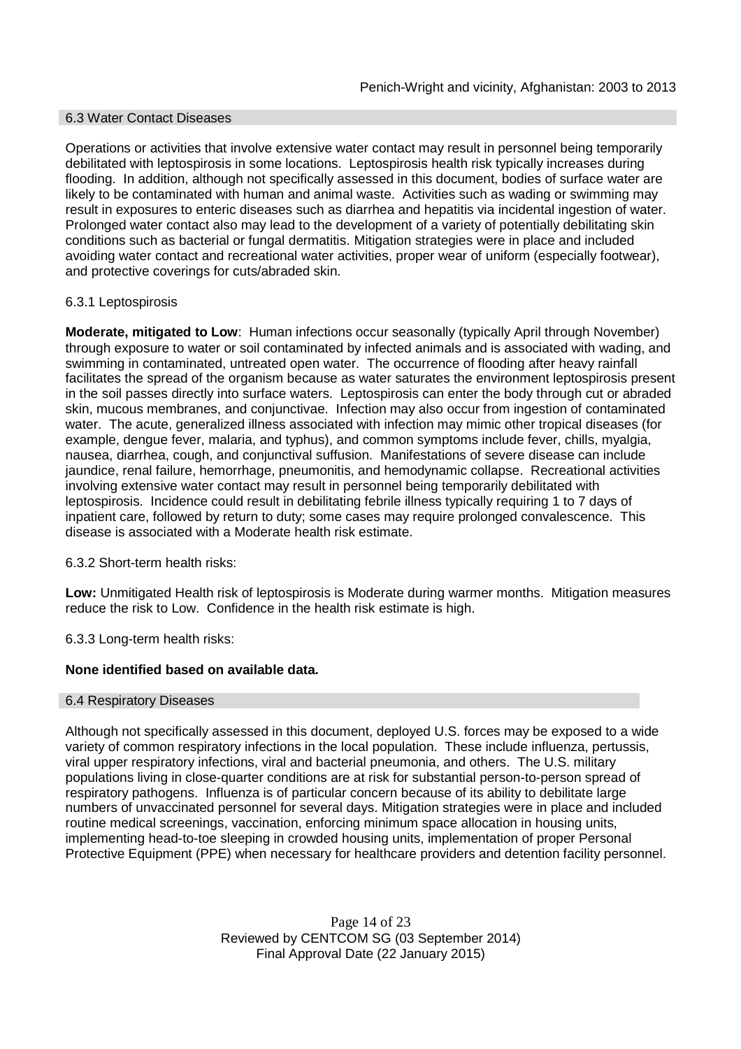#### 6.3 Water Contact Diseases

Operations or activities that involve extensive water contact may result in personnel being temporarily debilitated with leptospirosis in some locations. Leptospirosis health risk typically increases during flooding. In addition, although not specifically assessed in this document, bodies of surface water are likely to be contaminated with human and animal waste. Activities such as wading or swimming may result in exposures to enteric diseases such as diarrhea and hepatitis via incidental ingestion of water. Prolonged water contact also may lead to the development of a variety of potentially debilitating skin conditions such as bacterial or fungal dermatitis. Mitigation strategies were in place and included avoiding water contact and recreational water activities, proper wear of uniform (especially footwear), and protective coverings for cuts/abraded skin.

## 6.3.1 Leptospirosis

**Moderate, mitigated to Low**: Human infections occur seasonally (typically April through November) through exposure to water or soil contaminated by infected animals and is associated with wading, and swimming in contaminated, untreated open water. The occurrence of flooding after heavy rainfall facilitates the spread of the organism because as water saturates the environment leptospirosis present in the soil passes directly into surface waters. Leptospirosis can enter the body through cut or abraded skin, mucous membranes, and conjunctivae. Infection may also occur from ingestion of contaminated water. The acute, generalized illness associated with infection may mimic other tropical diseases (for example, dengue fever, malaria, and typhus), and common symptoms include fever, chills, myalgia, nausea, diarrhea, cough, and conjunctival suffusion. Manifestations of severe disease can include jaundice, renal failure, hemorrhage, pneumonitis, and hemodynamic collapse. Recreational activities involving extensive water contact may result in personnel being temporarily debilitated with leptospirosis. Incidence could result in debilitating febrile illness typically requiring 1 to 7 days of inpatient care, followed by return to duty; some cases may require prolonged convalescence. This disease is associated with a Moderate health risk estimate.

6.3.2 Short-term health risks:

**Low:** Unmitigated Health risk of leptospirosis is Moderate during warmer months. Mitigation measures reduce the risk to Low. Confidence in the health risk estimate is high.

6.3.3 Long-term health risks:

## **None identified based on available data.**

## 6.4 Respiratory Diseases

Although not specifically assessed in this document, deployed U.S. forces may be exposed to a wide variety of common respiratory infections in the local population. These include influenza, pertussis, viral upper respiratory infections, viral and bacterial pneumonia, and others. The U.S. military populations living in close-quarter conditions are at risk for substantial person-to-person spread of respiratory pathogens. Influenza is of particular concern because of its ability to debilitate large numbers of unvaccinated personnel for several days. Mitigation strategies were in place and included routine medical screenings, vaccination, enforcing minimum space allocation in housing units, implementing head-to-toe sleeping in crowded housing units, implementation of proper Personal Protective Equipment (PPE) when necessary for healthcare providers and detention facility personnel.

> Page 14 of 23 Reviewed by CENTCOM SG (03 September 2014) Final Approval Date (22 January 2015)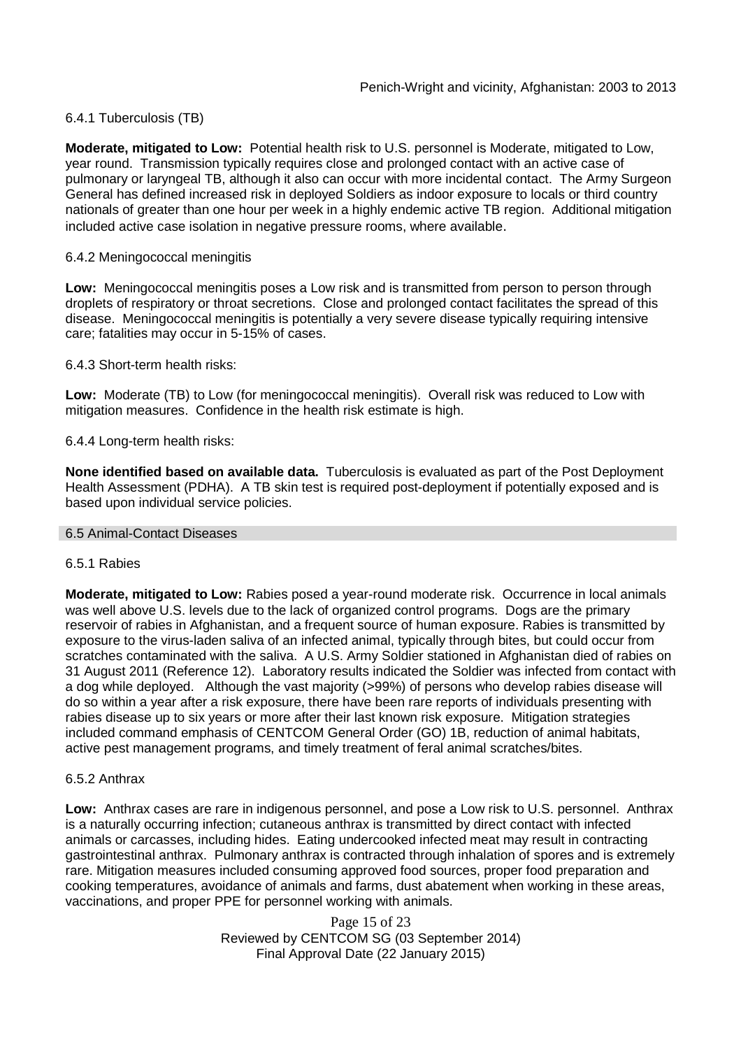## 6.4.1 Tuberculosis (TB)

**Moderate, mitigated to Low:** Potential health risk to U.S. personnel is Moderate, mitigated to Low, year round. Transmission typically requires close and prolonged contact with an active case of pulmonary or laryngeal TB, although it also can occur with more incidental contact. The Army Surgeon General has defined increased risk in deployed Soldiers as indoor exposure to locals or third country nationals of greater than one hour per week in a highly endemic active TB region. Additional mitigation included active case isolation in negative pressure rooms, where available.

#### 6.4.2 Meningococcal meningitis

**Low:** Meningococcal meningitis poses a Low risk and is transmitted from person to person through droplets of respiratory or throat secretions. Close and prolonged contact facilitates the spread of this disease. Meningococcal meningitis is potentially a very severe disease typically requiring intensive care; fatalities may occur in 5-15% of cases.

6.4.3 Short-term health risks:

**Low:** Moderate (TB) to Low (for meningococcal meningitis). Overall risk was reduced to Low with mitigation measures. Confidence in the health risk estimate is high.

#### 6.4.4 Long-term health risks:

**None identified based on available data.** Tuberculosis is evaluated as part of the Post Deployment Health Assessment (PDHA). A TB skin test is required post-deployment if potentially exposed and is based upon individual service policies.

#### 6.5 Animal-Contact Diseases

#### 6.5.1 Rabies

**Moderate, mitigated to Low:** Rabies posed a year-round moderate risk. Occurrence in local animals was well above U.S. levels due to the lack of organized control programs. Dogs are the primary reservoir of rabies in Afghanistan, and a frequent source of human exposure. Rabies is transmitted by exposure to the virus-laden saliva of an infected animal, typically through bites, but could occur from scratches contaminated with the saliva. A U.S. Army Soldier stationed in Afghanistan died of rabies on 31 August 2011 (Reference 12). Laboratory results indicated the Soldier was infected from contact with a dog while deployed. Although the vast majority (>99%) of persons who develop rabies disease will do so within a year after a risk exposure, there have been rare reports of individuals presenting with rabies disease up to six years or more after their last known risk exposure. Mitigation strategies included command emphasis of CENTCOM General Order (GO) 1B, reduction of animal habitats, active pest management programs, and timely treatment of feral animal scratches/bites.

#### 6.5.2 Anthrax

**Low:** Anthrax cases are rare in indigenous personnel, and pose a Low risk to U.S. personnel. Anthrax is a naturally occurring infection; cutaneous anthrax is transmitted by direct contact with infected animals or carcasses, including hides. Eating undercooked infected meat may result in contracting gastrointestinal anthrax. Pulmonary anthrax is contracted through inhalation of spores and is extremely rare. Mitigation measures included consuming approved food sources, proper food preparation and cooking temperatures, avoidance of animals and farms, dust abatement when working in these areas, vaccinations, and proper PPE for personnel working with animals.

> Page 15 of 23 Reviewed by CENTCOM SG (03 September 2014) Final Approval Date (22 January 2015)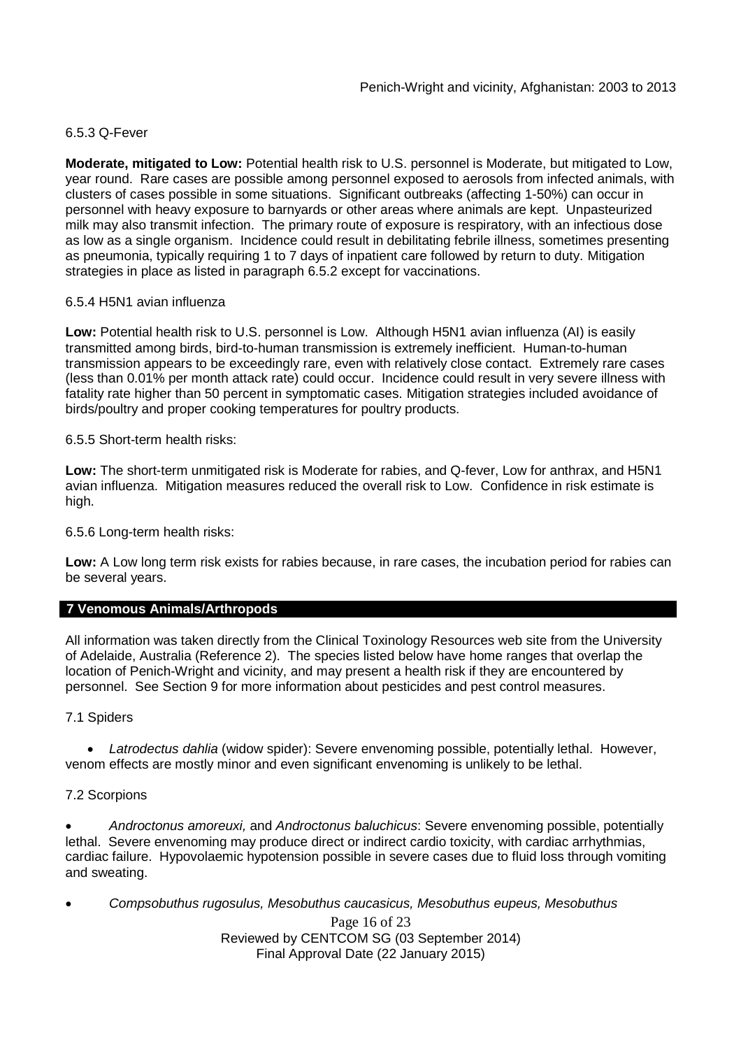#### 6.5.3 Q-Fever

**Moderate, mitigated to Low:** Potential health risk to U.S. personnel is Moderate, but mitigated to Low, year round. Rare cases are possible among personnel exposed to aerosols from infected animals, with clusters of cases possible in some situations. Significant outbreaks (affecting 1-50%) can occur in personnel with heavy exposure to barnyards or other areas where animals are kept. Unpasteurized milk may also transmit infection. The primary route of exposure is respiratory, with an infectious dose as low as a single organism. Incidence could result in debilitating febrile illness, sometimes presenting as pneumonia, typically requiring 1 to 7 days of inpatient care followed by return to duty. Mitigation strategies in place as listed in paragraph 6.5.2 except for vaccinations.

## 6.5.4 H5N1 avian influenza

**Low:** Potential health risk to U.S. personnel is Low. Although H5N1 avian influenza (AI) is easily transmitted among birds, bird-to-human transmission is extremely inefficient. Human-to-human transmission appears to be exceedingly rare, even with relatively close contact. Extremely rare cases (less than 0.01% per month attack rate) could occur. Incidence could result in very severe illness with fatality rate higher than 50 percent in symptomatic cases. Mitigation strategies included avoidance of birds/poultry and proper cooking temperatures for poultry products.

6.5.5 Short-term health risks:

**Low:** The short-term unmitigated risk is Moderate for rabies, and Q-fever, Low for anthrax, and H5N1 avian influenza. Mitigation measures reduced the overall risk to Low. Confidence in risk estimate is high.

6.5.6 Long-term health risks:

**Low:** A Low long term risk exists for rabies because, in rare cases, the incubation period for rabies can be several years.

## **7 Venomous Animals/Arthropods**

All information was taken directly from the Clinical Toxinology Resources web site from the University of Adelaide, Australia (Reference 2). The species listed below have home ranges that overlap the location of Penich-Wright and vicinity, and may present a health risk if they are encountered by personnel. See Section 9 for more information about pesticides and pest control measures.

7.1 Spiders

 *Latrodectus dahlia* (widow spider): Severe envenoming possible, potentially lethal. However, venom effects are mostly minor and even significant envenoming is unlikely to be lethal.

## 7.2 Scorpions

 *Androctonus amoreuxi,* and *Androctonus baluchicus*: Severe envenoming possible, potentially lethal. Severe envenoming may produce direct or indirect cardio toxicity, with cardiac arrhythmias, cardiac failure. Hypovolaemic hypotension possible in severe cases due to fluid loss through vomiting and sweating.

Page 16 of 23 Reviewed by CENTCOM SG (03 September 2014) Final Approval Date (22 January 2015) *Compsobuthus rugosulus, Mesobuthus caucasicus, Mesobuthus eupeus, Mesobuthus*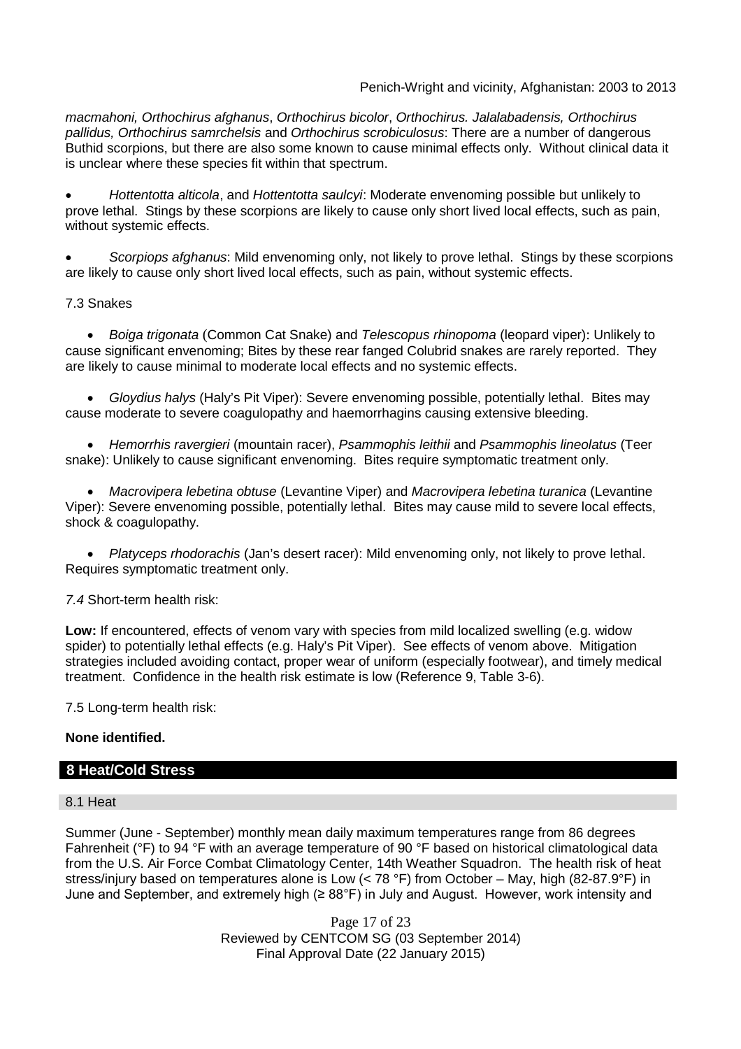*macmahoni, Orthochirus afghanus*, *Orthochirus bicolor*, *Orthochirus. Jalalabadensis, Orthochirus pallidus, Orthochirus samrchelsis* and *Orthochirus scrobiculosus*: There are a number of dangerous Buthid scorpions, but there are also some known to cause minimal effects only. Without clinical data it is unclear where these species fit within that spectrum.

 *Hottentotta alticola*, and *Hottentotta saulcyi*: Moderate envenoming possible but unlikely to prove lethal. Stings by these scorpions are likely to cause only short lived local effects, such as pain, without systemic effects.

 *Scorpiops afghanus*: Mild envenoming only, not likely to prove lethal. Stings by these scorpions are likely to cause only short lived local effects, such as pain, without systemic effects.

## 7.3 Snakes

 *Boiga trigonata* (Common Cat Snake) and *Telescopus rhinopoma* (leopard viper): Unlikely to cause significant envenoming; Bites by these rear fanged Colubrid snakes are rarely reported. They are likely to cause minimal to moderate local effects and no systemic effects.

 *Gloydius halys* (Haly's Pit Viper): Severe envenoming possible, potentially lethal. Bites may cause moderate to severe coagulopathy and haemorrhagins causing extensive bleeding.

 *Hemorrhis ravergieri* (mountain racer), *Psammophis leithii* and *Psammophis lineolatus* (Teer snake): Unlikely to cause significant envenoming. Bites require symptomatic treatment only.

 *Macrovipera lebetina obtuse* (Levantine Viper) and *Macrovipera lebetina turanica* (Levantine Viper): Severe envenoming possible, potentially lethal. Bites may cause mild to severe local effects, shock & coagulopathy.

 *Platyceps rhodorachis* (Jan's desert racer): Mild envenoming only, not likely to prove lethal. Requires symptomatic treatment only.

## *7.4* Short-term health risk:

**Low:** If encountered, effects of venom vary with species from mild localized swelling (e.g. widow spider) to potentially lethal effects (e.g. Haly's Pit Viper). See effects of venom above. Mitigation strategies included avoiding contact, proper wear of uniform (especially footwear), and timely medical treatment. Confidence in the health risk estimate is low (Reference 9, Table 3-6).

7.5 Long-term health risk:

## **None identified.**

## **8 Heat/Cold Stress**

#### 8.1 Heat

Summer (June - September) monthly mean daily maximum temperatures range from 86 degrees Fahrenheit (°F) to 94 °F with an average temperature of 90 °F based on historical climatological data from the U.S. Air Force Combat Climatology Center, 14th Weather Squadron. The health risk of heat stress/injury based on temperatures alone is Low (< 78 °F) from October – May, high (82-87.9°F) in June and September, and extremely high (≥ 88°F) in July and August. However, work intensity and

> Page 17 of 23 Reviewed by CENTCOM SG (03 September 2014) Final Approval Date (22 January 2015)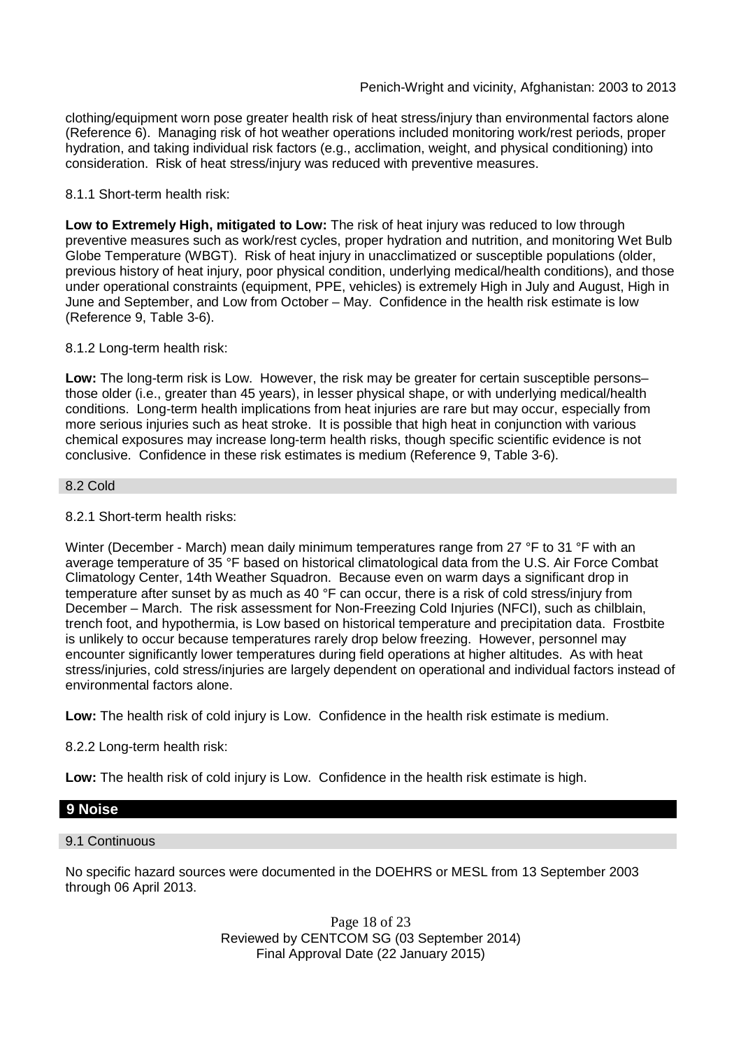clothing/equipment worn pose greater health risk of heat stress/injury than environmental factors alone (Reference 6). Managing risk of hot weather operations included monitoring work/rest periods, proper hydration, and taking individual risk factors (e.g., acclimation, weight, and physical conditioning) into consideration. Risk of heat stress/injury was reduced with preventive measures.

#### 8.1.1 Short-term health risk:

**Low to Extremely High, mitigated to Low:** The risk of heat injury was reduced to low through preventive measures such as work/rest cycles, proper hydration and nutrition, and monitoring Wet Bulb Globe Temperature (WBGT). Risk of heat injury in unacclimatized or susceptible populations (older, previous history of heat injury, poor physical condition, underlying medical/health conditions), and those under operational constraints (equipment, PPE, vehicles) is extremely High in July and August, High in June and September, and Low from October – May. Confidence in the health risk estimate is low (Reference 9, Table 3-6).

#### 8.1.2 Long-term health risk:

**Low:** The long-term risk is Low. However, the risk may be greater for certain susceptible persons– those older (i.e., greater than 45 years), in lesser physical shape, or with underlying medical/health conditions. Long-term health implications from heat injuries are rare but may occur, especially from more serious injuries such as heat stroke. It is possible that high heat in conjunction with various chemical exposures may increase long-term health risks, though specific scientific evidence is not conclusive. Confidence in these risk estimates is medium (Reference 9, Table 3-6).

#### 8.2 Cold

## 8.2.1 Short-term health risks:

Winter (December - March) mean daily minimum temperatures range from 27 °F to 31 °F with an average temperature of 35 °F based on historical climatological data from the U.S. Air Force Combat Climatology Center, 14th Weather Squadron. Because even on warm days a significant drop in temperature after sunset by as much as 40 °F can occur, there is a risk of cold stress/injury from December – March. The risk assessment for Non-Freezing Cold Injuries (NFCI), such as chilblain, trench foot, and hypothermia, is Low based on historical temperature and precipitation data. Frostbite is unlikely to occur because temperatures rarely drop below freezing. However, personnel may encounter significantly lower temperatures during field operations at higher altitudes. As with heat stress/injuries, cold stress/injuries are largely dependent on operational and individual factors instead of environmental factors alone.

**Low:** The health risk of cold injury is Low. Confidence in the health risk estimate is medium.

## 8.2.2 Long-term health risk:

**Low:** The health risk of cold injury is Low. Confidence in the health risk estimate is high.

#### **9 Noise**

#### 9.1 Continuous

No specific hazard sources were documented in the DOEHRS or MESL from 13 September 2003 through 06 April 2013.

> Page 18 of 23 Reviewed by CENTCOM SG (03 September 2014) Final Approval Date (22 January 2015)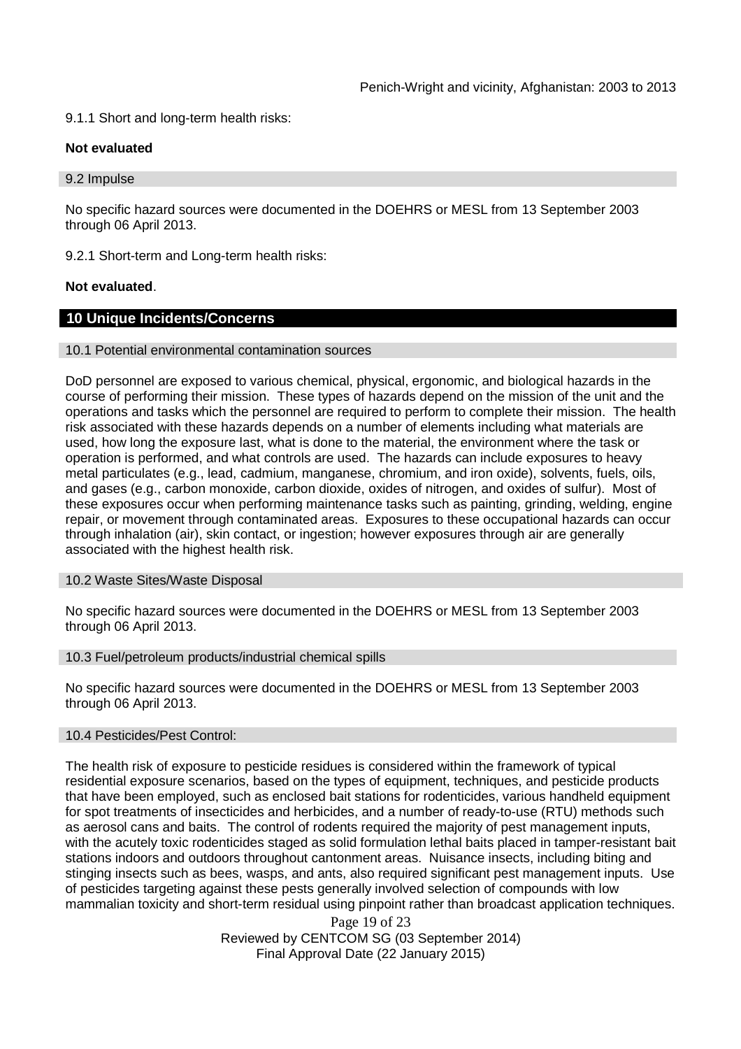9.1.1 Short and long-term health risks:

#### **Not evaluated**

9.2 Impulse

No specific hazard sources were documented in the DOEHRS or MESL from 13 September 2003 through 06 April 2013.

9.2.1 Short-term and Long-term health risks:

## **Not evaluated**.

## **10 Unique Incidents/Concerns**

#### 10.1 Potential environmental contamination sources

DoD personnel are exposed to various chemical, physical, ergonomic, and biological hazards in the course of performing their mission. These types of hazards depend on the mission of the unit and the operations and tasks which the personnel are required to perform to complete their mission. The health risk associated with these hazards depends on a number of elements including what materials are used, how long the exposure last, what is done to the material, the environment where the task or operation is performed, and what controls are used. The hazards can include exposures to heavy metal particulates (e.g., lead, cadmium, manganese, chromium, and iron oxide), solvents, fuels, oils, and gases (e.g., carbon monoxide, carbon dioxide, oxides of nitrogen, and oxides of sulfur). Most of these exposures occur when performing maintenance tasks such as painting, grinding, welding, engine repair, or movement through contaminated areas. Exposures to these occupational hazards can occur through inhalation (air), skin contact, or ingestion; however exposures through air are generally associated with the highest health risk.

#### 10.2 Waste Sites/Waste Disposal

No specific hazard sources were documented in the DOEHRS or MESL from 13 September 2003 through 06 April 2013.

#### 10.3 Fuel/petroleum products/industrial chemical spills

No specific hazard sources were documented in the DOEHRS or MESL from 13 September 2003 through 06 April 2013.

#### 10.4 Pesticides/Pest Control:

The health risk of exposure to pesticide residues is considered within the framework of typical residential exposure scenarios, based on the types of equipment, techniques, and pesticide products that have been employed, such as enclosed bait stations for rodenticides, various handheld equipment for spot treatments of insecticides and herbicides, and a number of ready-to-use (RTU) methods such as aerosol cans and baits. The control of rodents required the majority of pest management inputs, with the acutely toxic rodenticides staged as solid formulation lethal baits placed in tamper-resistant bait stations indoors and outdoors throughout cantonment areas. Nuisance insects, including biting and stinging insects such as bees, wasps, and ants, also required significant pest management inputs. Use of pesticides targeting against these pests generally involved selection of compounds with low mammalian toxicity and short-term residual using pinpoint rather than broadcast application techniques.

> Page 19 of 23 Reviewed by CENTCOM SG (03 September 2014) Final Approval Date (22 January 2015)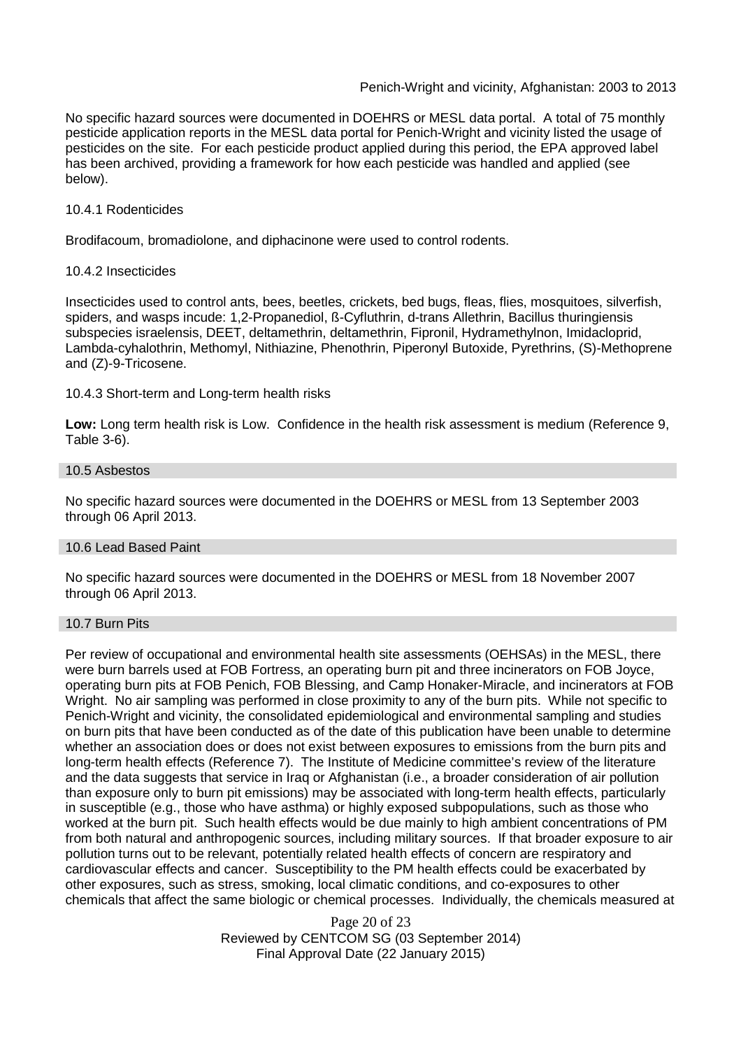#### Penich-Wright and vicinity, Afghanistan: 2003 to 2013

No specific hazard sources were documented in DOEHRS or MESL data portal. A total of 75 monthly pesticide application reports in the MESL data portal for Penich-Wright and vicinity listed the usage of pesticides on the site. For each pesticide product applied during this period, the EPA approved label has been archived, providing a framework for how each pesticide was handled and applied (see below).

#### 10.4.1 Rodenticides

Brodifacoum, bromadiolone, and diphacinone were used to control rodents.

#### 10.4.2 Insecticides

Insecticides used to control ants, bees, beetles, crickets, bed bugs, fleas, flies, mosquitoes, silverfish, spiders, and wasps incude: 1,2-Propanediol, ß-Cyfluthrin, d-trans Allethrin, Bacillus thuringiensis subspecies israelensis, DEET, deltamethrin, deltamethrin, Fipronil, Hydramethylnon, Imidacloprid, Lambda-cyhalothrin, Methomyl, Nithiazine, Phenothrin, Piperonyl Butoxide, Pyrethrins, (S)-Methoprene and (Z)-9-Tricosene.

#### 10.4.3 Short-term and Long-term health risks

**Low:** Long term health risk is Low. Confidence in the health risk assessment is medium (Reference 9, Table 3-6).

#### 10.5 Asbestos

No specific hazard sources were documented in the DOEHRS or MESL from 13 September 2003 through 06 April 2013.

#### 10.6 Lead Based Paint

No specific hazard sources were documented in the DOEHRS or MESL from 18 November 2007 through 06 April 2013.

#### 10.7 Burn Pits

Per review of occupational and environmental health site assessments (OEHSAs) in the MESL, there were burn barrels used at FOB Fortress, an operating burn pit and three incinerators on FOB Joyce, operating burn pits at FOB Penich, FOB Blessing, and Camp Honaker-Miracle, and incinerators at FOB Wright. No air sampling was performed in close proximity to any of the burn pits. While not specific to Penich-Wright and vicinity, the consolidated epidemiological and environmental sampling and studies on burn pits that have been conducted as of the date of this publication have been unable to determine whether an association does or does not exist between exposures to emissions from the burn pits and long-term health effects (Reference 7). The Institute of Medicine committee's review of the literature and the data suggests that service in Iraq or Afghanistan (i.e., a broader consideration of air pollution than exposure only to burn pit emissions) may be associated with long-term health effects, particularly in susceptible (e.g., those who have asthma) or highly exposed subpopulations, such as those who worked at the burn pit. Such health effects would be due mainly to high ambient concentrations of PM from both natural and anthropogenic sources, including military sources. If that broader exposure to air pollution turns out to be relevant, potentially related health effects of concern are respiratory and cardiovascular effects and cancer. Susceptibility to the PM health effects could be exacerbated by other exposures, such as stress, smoking, local climatic conditions, and co-exposures to other chemicals that affect the same biologic or chemical processes. Individually, the chemicals measured at

> Page 20 of 23 Reviewed by CENTCOM SG (03 September 2014) Final Approval Date (22 January 2015)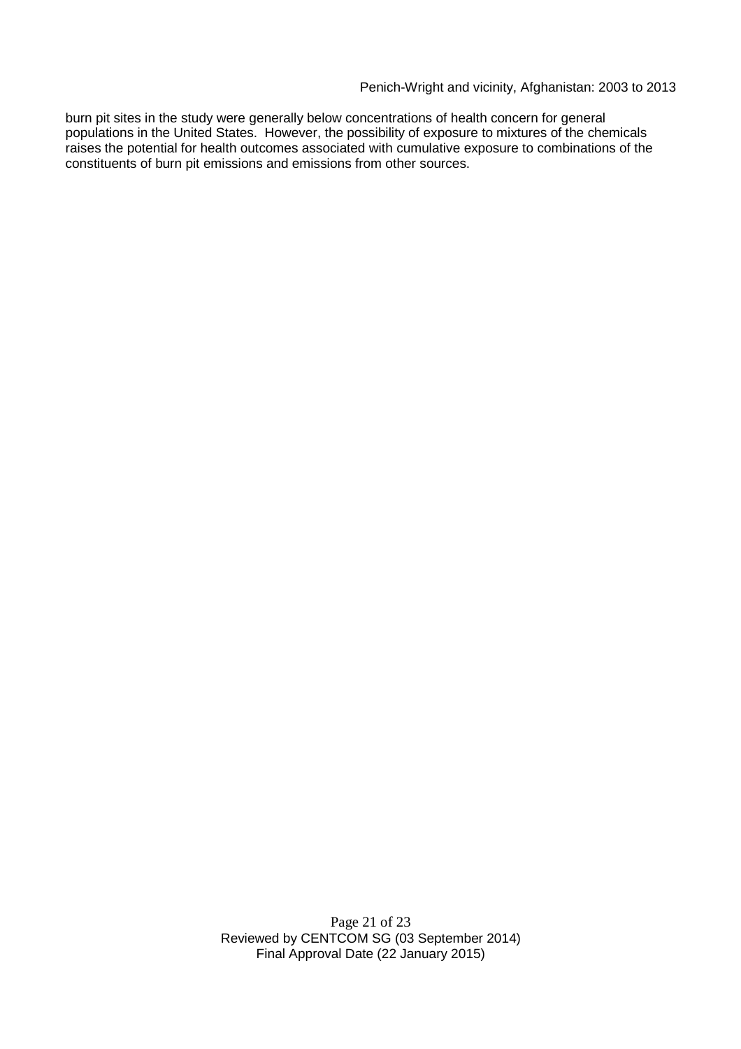Penich-Wright and vicinity, Afghanistan: 2003 to 2013

burn pit sites in the study were generally below concentrations of health concern for general populations in the United States. However, the possibility of exposure to mixtures of the chemicals raises the potential for health outcomes associated with cumulative exposure to combinations of the constituents of burn pit emissions and emissions from other sources.

> Page 21 of 23 Reviewed by CENTCOM SG (03 September 2014) Final Approval Date (22 January 2015)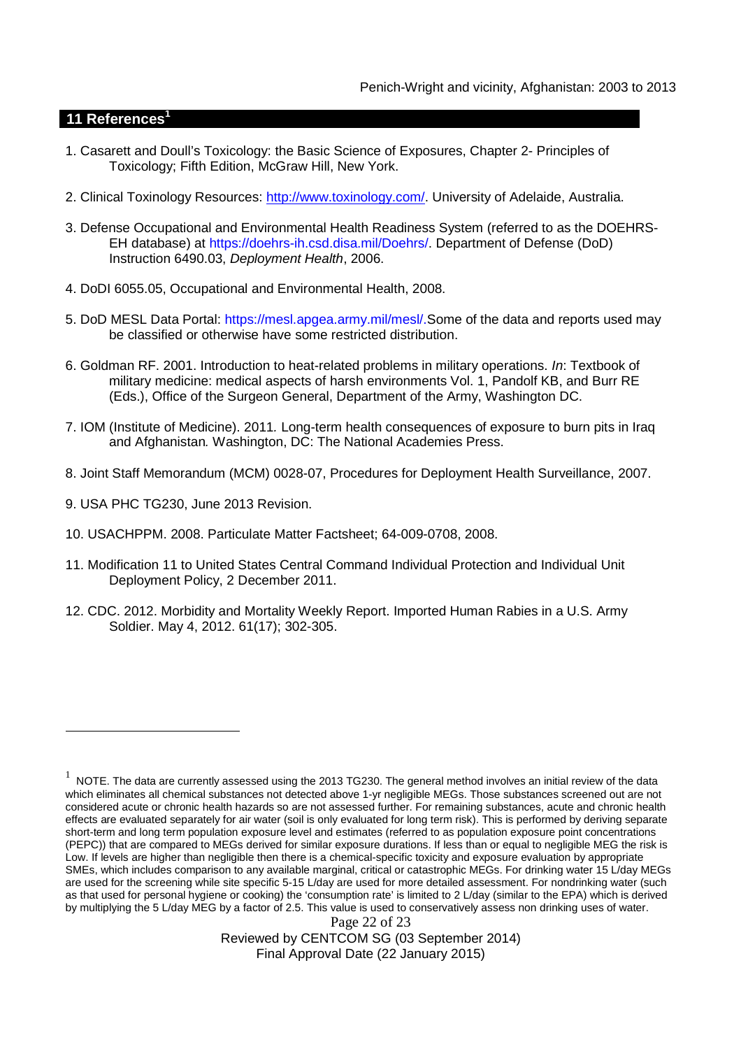## **11 References<sup>1</sup>**

- 1. Casarett and Doull's Toxicology: the Basic Science of Exposures, Chapter 2- Principles of Toxicology; Fifth Edition, McGraw Hill, New York.
- 2. Clinical Toxinology Resources: http://www.toxinology.com/. University of Adelaide, Australia.
- 3. Defense Occupational and Environmental Health Readiness System (referred to as the DOEHRS-EH database) at https://doehrs-ih.csd.disa.mil/Doehrs/. Department of Defense (DoD) Instruction 6490.03, *Deployment Health*, 2006.
- 4. DoDI 6055.05, Occupational and Environmental Health, 2008.
- 5. DoD MESL Data Portal: https://mesl.apgea.army.mil/mesl/.Some of the data and reports used may be classified or otherwise have some restricted distribution.
- 6. Goldman RF. 2001. Introduction to heat-related problems in military operations. *In*: Textbook of military medicine: medical aspects of harsh environments Vol. 1, Pandolf KB, and Burr RE (Eds.), Office of the Surgeon General, Department of the Army, Washington DC.
- 7. IOM (Institute of Medicine). 2011*.* Long-term health consequences of exposure to burn pits in Iraq and Afghanistan*.* Washington, DC: The National Academies Press.
- 8. Joint Staff Memorandum (MCM) 0028-07, Procedures for Deployment Health Surveillance, 2007.
- 9. USA PHC TG230, June 2013 Revision.
- 10. USACHPPM. 2008. Particulate Matter Factsheet; 64-009-0708, 2008.
- 11. Modification 11 to United States Central Command Individual Protection and Individual Unit Deployment Policy, 2 December 2011.
- 12. CDC. 2012. Morbidity and Mortality Weekly Report. Imported Human Rabies in a U.S. Army Soldier. May 4, 2012. 61(17); 302-305.

Reviewed by CENTCOM SG (03 September 2014) Final Approval Date (22 January 2015)

Page 22 of 23  $^1$  NOTE. The data are currently assessed using the 2013 TG230. The general method involves an initial review of the data which eliminates all chemical substances not detected above 1-yr negligible MEGs. Those substances screened out are not considered acute or chronic health hazards so are not assessed further. For remaining substances, acute and chronic health effects are evaluated separately for air water (soil is only evaluated for long term risk). This is performed by deriving separate short-term and long term population exposure level and estimates (referred to as population exposure point concentrations (PEPC)) that are compared to MEGs derived for similar exposure durations. If less than or equal to negligible MEG the risk is Low. If levels are higher than negligible then there is a chemical-specific toxicity and exposure evaluation by appropriate SMEs, which includes comparison to any available marginal, critical or catastrophic MEGs. For drinking water 15 L/day MEGs are used for the screening while site specific 5-15 L/day are used for more detailed assessment. For nondrinking water (such as that used for personal hygiene or cooking) the 'consumption rate' is limited to 2 L/day (similar to the EPA) which is derived by multiplying the 5 L/day MEG by a factor of 2.5. This value is used to conservatively assess non drinking uses of water.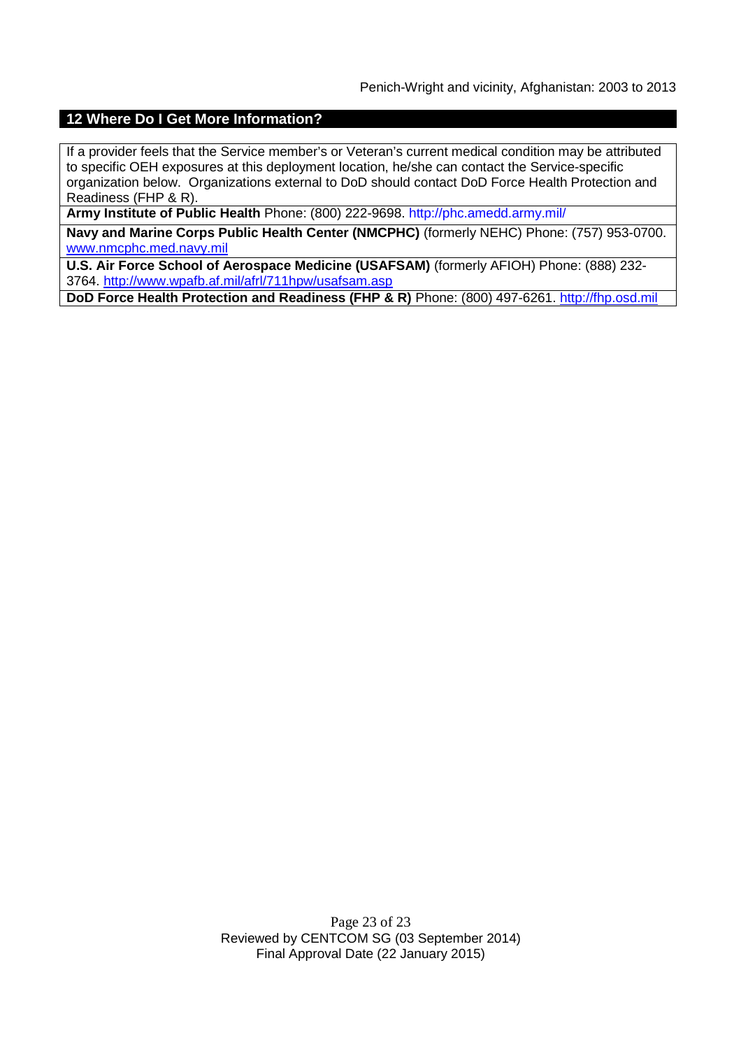## **12 Where Do I Get More Information?**

If a provider feels that the Service member's or Veteran's current medical condition may be attributed to specific OEH exposures at this deployment location, he/she can contact the Service-specific organization below. Organizations external to DoD should contact DoD Force Health Protection and Readiness (FHP & R).

**Army Institute of Public Health** Phone: (800) 222-9698. http://phc.amedd.army.mil/

**Navy and Marine Corps Public Health Center (NMCPHC)** (formerly NEHC) Phone: (757) 953-0700. www.nmcphc.med.navy.mil

**U.S. Air Force School of Aerospace Medicine (USAFSAM)** (formerly AFIOH) Phone: (888) 232- 3764. http://www.wpafb.af.mil/afrl/711hpw/usafsam.asp

**DoD Force Health Protection and Readiness (FHP & R)** Phone: (800) 497-6261. http://fhp.osd.mil

Page 23 of 23 Reviewed by CENTCOM SG (03 September 2014) Final Approval Date (22 January 2015)